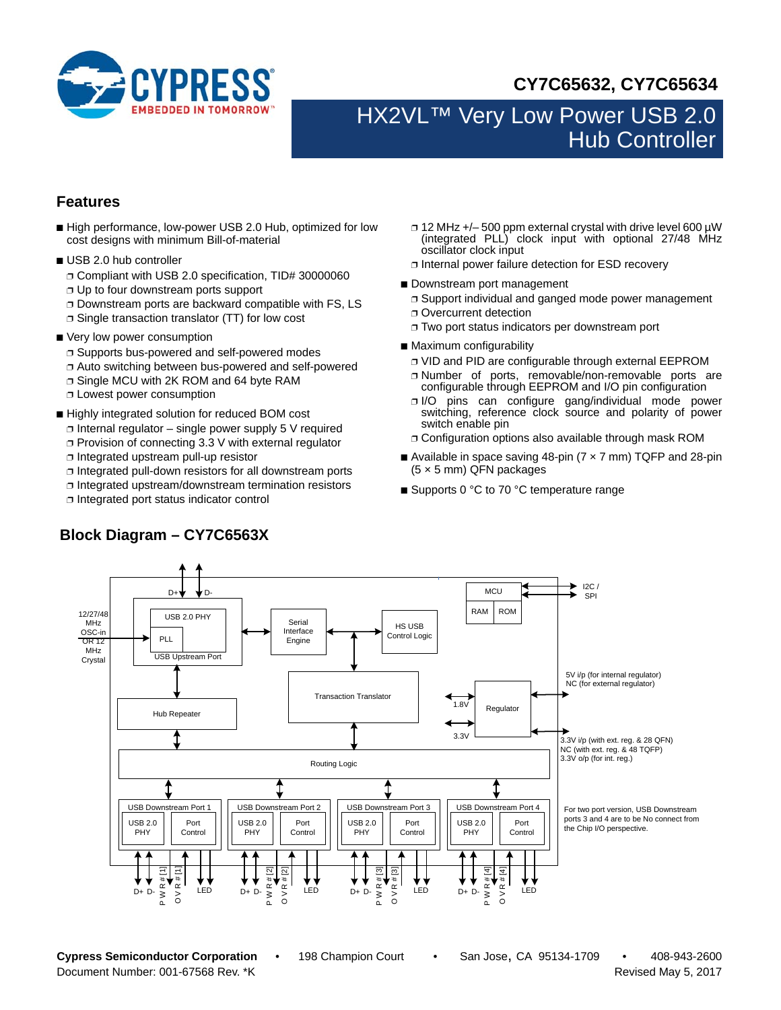

**CY7C65632, CY7C65634**

# HX2VL™ Very Low Power USB 2.0 Hub Controller

# <span id="page-0-1"></span>**Features**

■ High performance, low-power USB 2.0 Hub, optimized for low cost designs with minimum Bill-of-material

# ■ USB 2.0 hub controller

- ❐ Compliant with USB 2.0 specification, TID# 30000060 ❐ Up to four downstream ports support
- ❐ Downstream ports are backward compatible with FS, LS ❐ Single transaction translator (TT) for low cost
- Very low power consumption
	- ❐ Supports bus-powered and self-powered modes
	- ❐ Auto switching between bus-powered and self-powered
	- ❐ Single MCU with 2K ROM and 64 byte RAM
	- ❐ Lowest power consumption
- Highly integrated solution for reduced BOM cost
	- ❐ Internal regulator single power supply 5 V required
	- ❐ Provision of connecting 3.3 V with external regulator
	- ❐ Integrated upstream pull-up resistor
	- ❐ Integrated pull-down resistors for all downstream ports
	- ❐ Integrated upstream/downstream termination resistors
	- ❐ Integrated port status indicator control

<span id="page-0-0"></span>**Block Diagram – CY7C6563X**

- ❐ 12 MHz +/– 500 ppm external crystal with drive level 600 µW (integrated PLL) clock input with optional 27/48 MHz oscillator clock input ❐ Internal power failure detection for ESD recovery
- Downstream port management
	- ❐ Support individual and ganged mode power management
	- ❐ Overcurrent detection
	- ❐ Two port status indicators per downstream port
- Maximum configurability
	- ❐ VID and PID are configurable through external EEPROM
	- ❐ Number of ports, removable/non-removable ports are configurable through EEPROM and I/O pin configuration
	- ❐ I/O pins can configure gang/individual mode power switching, reference clock source and polarity of power switch enable pin
	- ❐ Configuration options also available through mask ROM
- Available in space saving 48-pin (7 x 7 mm) TQFP and 28-pin (5 × 5 mm) QFN packages
- Supports 0 °C to 70 °C temperature range



**Cypress Semiconductor Corporation** • 198 Champion Court • San Jose, CA 95134-1709 • 408-943-2600 Document Number: 001-67568 Rev. \*K Revised May 5, 2017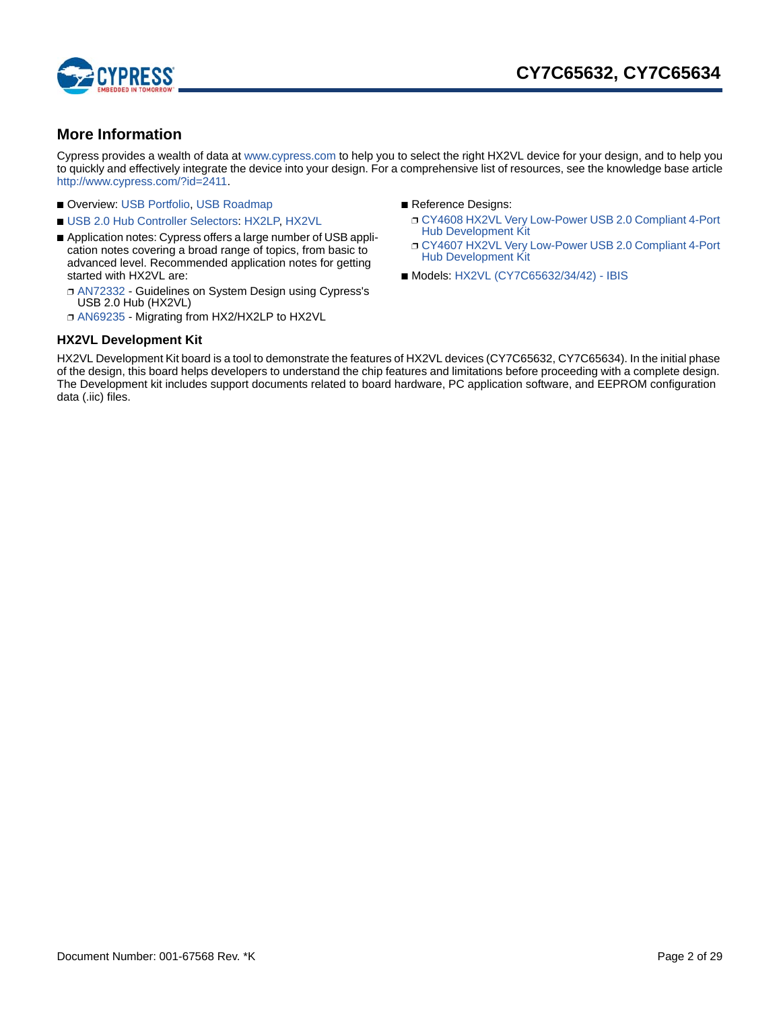

# <span id="page-1-0"></span>**More Information**

Cypress provides a wealth of data at [www.cypress.com](http://www.cypress.com) to help you to select the right HX2VL device for your design, and to help you to quickly and effectively integrate the device into your design. For a comprehensive list of resources, see the knowledge base article <http://www.cypress.com/?id=2411>.

- Overview: [USB Portfolio,](http://www.cypress.com/?id=167) [USB Roadmap](http://www.cypress.com/?rID=94780)
- [USB 2.0 Hub Controller Selectors:](http://www.cypress.com/?id=2411) [HX2LP,](http://www.cypress.com/?id=2411) [HX2VL](http://www.cypress.com/?id=3624)
- Application notes: Cypress offers a large number of USB application notes covering a broad range of topics, from basic to advanced level. Recommended application notes for getting started with HX2VL are:
	- ❐ [AN72332](http://www.cypress.com/?rID=54780) Guidelines on System Design using Cypress's USB 2.0 Hub (HX2VL)
	- ❐ [AN69235](http://www.cypress.com/?rID=52716) Migrating from HX2/HX2LP to HX2VL
- Reference Designs:
	- ❐ [CY4608 HX2VL Very Low-Power USB 2.0 Compliant 4-Port](http://www.cypress.com/?rID=55802)  Hub Development Kit
	- ❐ [CY4607 HX2VL Very Low-Power USB 2.0 Compliant 4-Port](http://www.cypress.com/?rID=55801)  Hub Development Kit
- Models[: HX2VL \(CY7C65632/34/42\) IBIS](http://www.cypress.com/?rID=60032)

# **HX2VL Development Kit**

HX2VL Development Kit board is a tool to demonstrate the features of HX2VL devices (CY7C65632, CY7C65634). In the initial phase of the design, this board helps developers to understand the chip features and limitations before proceeding with a complete design. The Development kit includes support documents related to board hardware, PC application software, and EEPROM configuration data (.iic) files.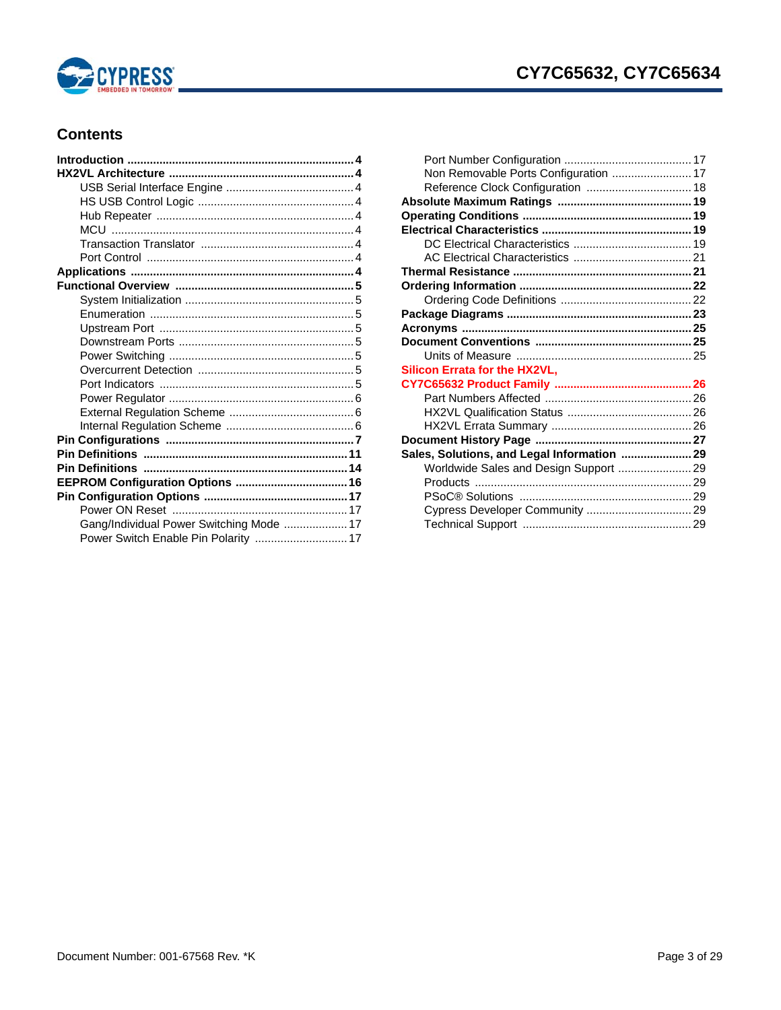

# **Contents**

| Gang/Individual Power Switching Mode  17 |  |
|------------------------------------------|--|
| Power Switch Enable Pin Polarity  17     |  |
|                                          |  |

| Non Removable Ports Configuration  17       |
|---------------------------------------------|
|                                             |
|                                             |
|                                             |
|                                             |
|                                             |
|                                             |
|                                             |
|                                             |
|                                             |
|                                             |
|                                             |
|                                             |
|                                             |
|                                             |
|                                             |
|                                             |
|                                             |
|                                             |
|                                             |
| Sales, Solutions, and Legal Information  29 |
| Worldwide Sales and Design Support  29      |
|                                             |
|                                             |
|                                             |
|                                             |
|                                             |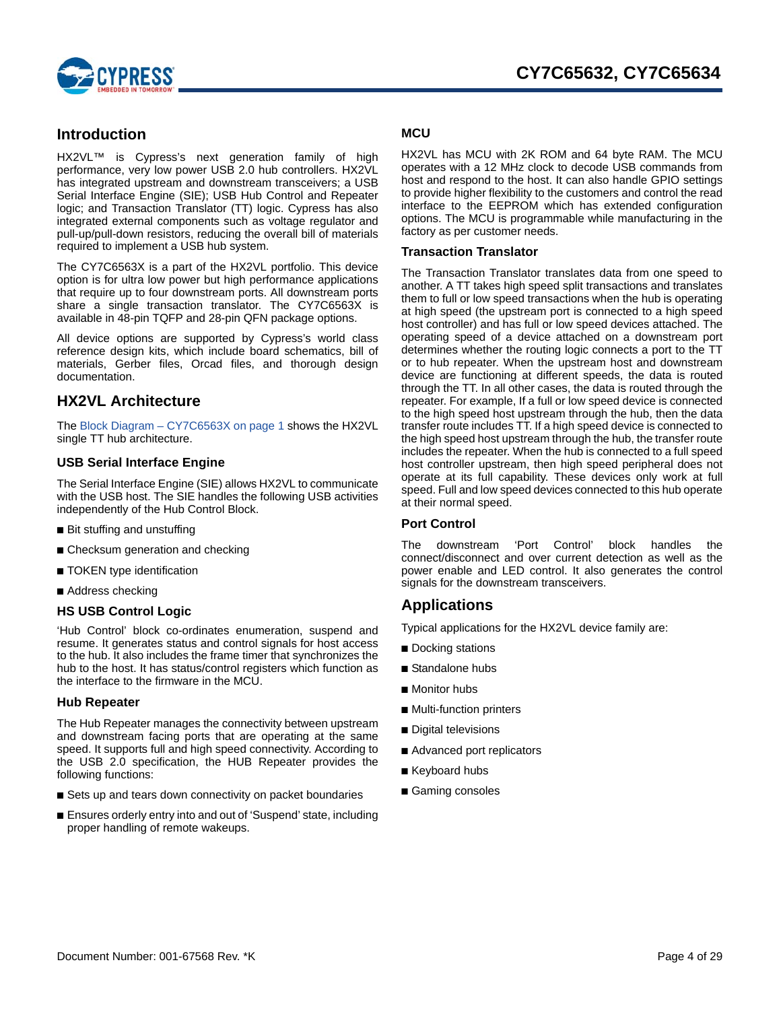

# <span id="page-3-0"></span>**Introduction**

HX2VL™ is Cypress's next generation family of high performance, very low power USB 2.0 hub controllers. HX2VL has integrated upstream and downstream transceivers; a USB Serial Interface Engine (SIE); USB Hub Control and Repeater logic; and Transaction Translator (TT) logic. Cypress has also integrated external components such as voltage regulator and pull-up/pull-down resistors, reducing the overall bill of materials required to implement a USB hub system.

The CY7C6563X is a part of the HX2VL portfolio. This device option is for ultra low power but high performance applications that require up to four downstream ports. All downstream ports share a single transaction translator. The CY7C6563X is available in 48-pin TQFP and 28-pin QFN package options.

All device options are supported by Cypress's world class reference design kits, which include board schematics, bill of materials, Gerber files, Orcad files, and thorough design documentation.

# <span id="page-3-1"></span>**HX2VL Architecture**

The [Block Diagram – CY7C6563X on page 1](#page-0-0) shows the HX2VL single TT hub architecture.

# <span id="page-3-2"></span>**USB Serial Interface Engine**

The Serial Interface Engine (SIE) allows HX2VL to communicate with the USB host. The SIE handles the following USB activities independently of the Hub Control Block.

- Bit stuffing and unstuffing
- Checksum generation and checking
- TOKEN type identification
- Address checking

# <span id="page-3-3"></span>**HS USB Control Logic**

'Hub Control' block co-ordinates enumeration, suspend and resume. It generates status and control signals for host access to the hub. It also includes the frame timer that synchronizes the hub to the host. It has status/control registers which function as the interface to the firmware in the MCU.

### <span id="page-3-4"></span>**Hub Repeater**

The Hub Repeater manages the connectivity between upstream and downstream facing ports that are operating at the same speed. It supports full and high speed connectivity. According to the USB 2.0 specification, the HUB Repeater provides the following functions:

- Sets up and tears down connectivity on packet boundaries
- Ensures orderly entry into and out of 'Suspend' state, including proper handling of remote wakeups.

# <span id="page-3-5"></span>**MCU**

HX2VL has MCU with 2K ROM and 64 byte RAM. The MCU operates with a 12 MHz clock to decode USB commands from host and respond to the host. It can also handle GPIO settings to provide higher flexibility to the customers and control the read interface to the EEPROM which has extended configuration options. The MCU is programmable while manufacturing in the factory as per customer needs.

### <span id="page-3-6"></span>**Transaction Translator**

The Transaction Translator translates data from one speed to another. A TT takes high speed split transactions and translates them to full or low speed transactions when the hub is operating at high speed (the upstream port is connected to a high speed host controller) and has full or low speed devices attached. The operating speed of a device attached on a downstream port determines whether the routing logic connects a port to the TT or to hub repeater. When the upstream host and downstream device are functioning at different speeds, the data is routed through the TT. In all other cases, the data is routed through the repeater. For example, If a full or low speed device is connected to the high speed host upstream through the hub, then the data transfer route includes TT. If a high speed device is connected to the high speed host upstream through the hub, the transfer route includes the repeater. When the hub is connected to a full speed host controller upstream, then high speed peripheral does not operate at its full capability. These devices only work at full speed. Full and low speed devices connected to this hub operate at their normal speed.

# <span id="page-3-7"></span>**Port Control**

The downstream 'Port Control' block handles the connect/disconnect and over current detection as well as the power enable and LED control. It also generates the control signals for the downstream transceivers.

# <span id="page-3-8"></span>**Applications**

Typical applications for the HX2VL device family are:

- Docking stations
- Standalone hubs
- Monitor hubs
- Multi-function printers
- Digital televisions
- Advanced port replicators
- Keyboard hubs
- Gaming consoles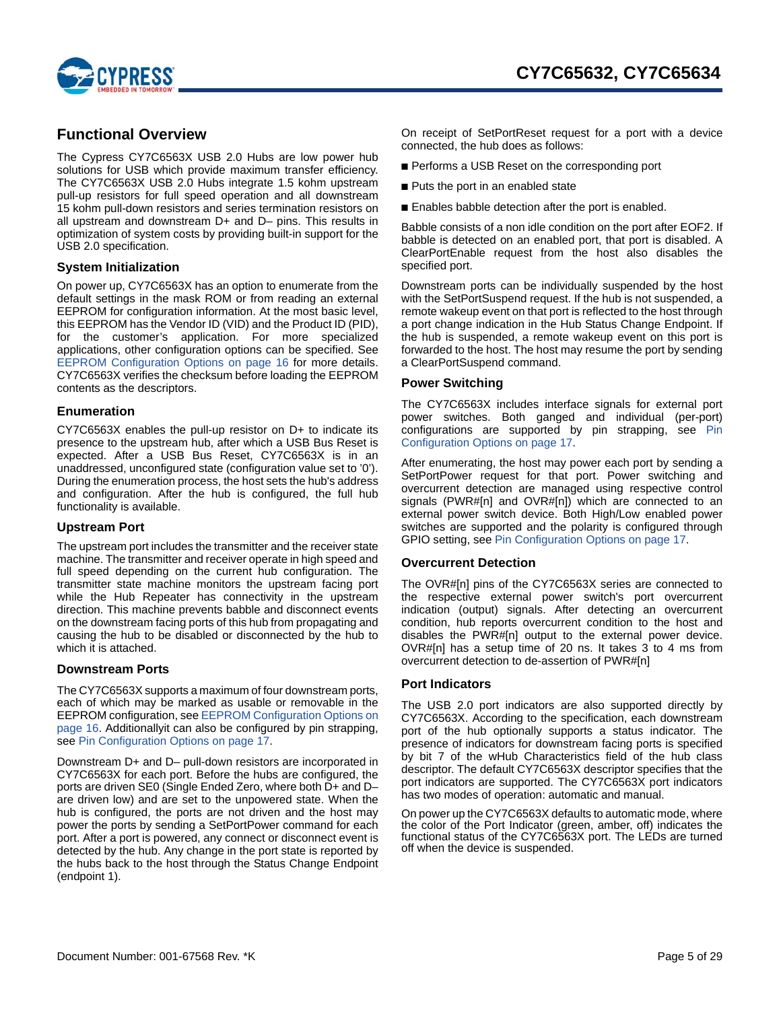

# <span id="page-4-0"></span>**Functional Overview**

The Cypress CY7C6563X USB 2.0 Hubs are low power hub solutions for USB which provide maximum transfer efficiency. The CY7C6563X USB 2.0 Hubs integrate 1.5 kohm upstream pull-up resistors for full speed operation and all downstream 15 kohm pull-down resistors and series termination resistors on all upstream and downstream D+ and D– pins. This results in optimization of system costs by providing built-in support for the USB 2.0 specification.

### <span id="page-4-1"></span>**System Initialization**

On power up, CY7C6563X has an option to enumerate from the default settings in the mask ROM or from reading an external EEPROM for configuration information. At the most basic level, this EEPROM has the Vendor ID (VID) and the Product ID (PID), for the customer's application. For more specialized applications, other configuration options can be specified. See [EEPROM Configuration Options on page 16](#page-15-0) for more details. CY7C6563X verifies the checksum before loading the EEPROM contents as the descriptors.

### <span id="page-4-2"></span>**Enumeration**

CY7C6563X enables the pull-up resistor on D+ to indicate its presence to the upstream hub, after which a USB Bus Reset is expected. After a USB Bus Reset, CY7C6563X is in an unaddressed, unconfigured state (configuration value set to '0'). During the enumeration process, the host sets the hub's address and configuration. After the hub is configured, the full hub functionality is available.

### <span id="page-4-3"></span>**Upstream Port**

The upstream port includes the transmitter and the receiver state machine. The transmitter and receiver operate in high speed and full speed depending on the current hub configuration. The transmitter state machine monitors the upstream facing port while the Hub Repeater has connectivity in the upstream direction. This machine prevents babble and disconnect events on the downstream facing ports of this hub from propagating and causing the hub to be disabled or disconnected by the hub to which it is attached.

# <span id="page-4-4"></span>**Downstream Ports**

The CY7C6563X supports a maximum of four downstream ports, each of which may be marked as usable or removable in the EEPROM configuration, see [EEPROM Configuration Options on](#page-15-0) [page 16](#page-15-0). Additionallyit can also be configured by pin strapping, see [Pin Configuration Options on page 17](#page-16-0).

Downstream D+ and D– pull-down resistors are incorporated in CY7C6563X for each port. Before the hubs are configured, the ports are driven SE0 (Single Ended Zero, where both D+ and D– are driven low) and are set to the unpowered state. When the hub is configured, the ports are not driven and the host may power the ports by sending a SetPortPower command for each port. After a port is powered, any connect or disconnect event is detected by the hub. Any change in the port state is reported by the hubs back to the host through the Status Change Endpoint (endpoint 1).

On receipt of SetPortReset request for a port with a device connected, the hub does as follows:

- Performs a USB Reset on the corresponding port
- Puts the port in an enabled state
- Enables babble detection after the port is enabled.

Babble consists of a non idle condition on the port after EOF2. If babble is detected on an enabled port, that port is disabled. A ClearPortEnable request from the host also disables the specified port.

Downstream ports can be individually suspended by the host with the SetPortSuspend request. If the hub is not suspended, a remote wakeup event on that port is reflected to the host through a port change indication in the Hub Status Change Endpoint. If the hub is suspended, a remote wakeup event on this port is forwarded to the host. The host may resume the port by sending a ClearPortSuspend command.

# <span id="page-4-5"></span>**Power Switching**

The CY7C6563X includes interface signals for external port power switches. Both ganged and individual (per-port) configurations are supported by pin strapping, see [Pin](#page-16-0) [Configuration Options on page 17.](#page-16-0)

After enumerating, the host may power each port by sending a SetPortPower request for that port. Power switching and overcurrent detection are managed using respective control signals (PWR#[n] and OVR#[n]) which are connected to an external power switch device. Both High/Low enabled power switches are supported and the polarity is configured through GPIO setting, see [Pin Configuration Options on page 17.](#page-16-0)

### <span id="page-4-6"></span>**Overcurrent Detection**

The OVR#[n] pins of the CY7C6563X series are connected to the respective external power switch's port overcurrent indication (output) signals. After detecting an overcurrent condition, hub reports overcurrent condition to the host and disables the PWR#[n] output to the external power device. OVR#[n] has a setup time of 20 ns. It takes 3 to 4 ms from overcurrent detection to de-assertion of PWR#[n]

### <span id="page-4-7"></span>**Port Indicators**

The USB 2.0 port indicators are also supported directly by CY7C6563X. According to the specification, each downstream port of the hub optionally supports a status indicator. The presence of indicators for downstream facing ports is specified by bit 7 of the wHub Characteristics field of the hub class descriptor. The default CY7C6563X descriptor specifies that the port indicators are supported. The CY7C6563X port indicators has two modes of operation: automatic and manual.

On power up the CY7C6563X defaults to automatic mode, where the color of the Port Indicator (green, amber, off) indicates the functional status of the CY7C6563X port. The LEDs are turned off when the device is suspended.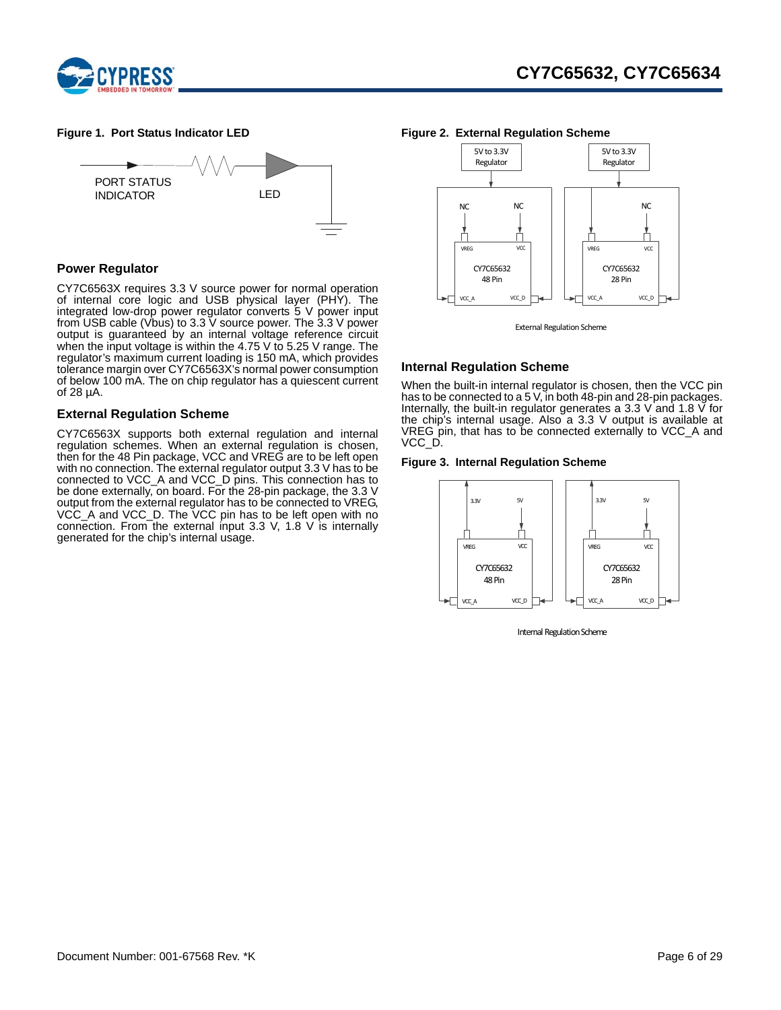

### **Figure 1. Port Status Indicator LED**



### <span id="page-5-0"></span>**Power Regulator**

CY7C6563X requires 3.3 V source power for normal operation of internal core logic and USB physical layer (PHY). The integrated low-drop power regulator converts  $5 \vee$  power input from USB cable (Vbus) to 3.3 V source power. The 3.3 V power output is guaranteed by an internal voltage reference circuit when the input voltage is within the 4.75  $\vee$  to 5.25  $\vee$  range. The regulator's maximum current loading is 150 mA, which provides tolerance margin over CY7C6563X's normal power consumption of below 100 mA. The on chip regulator has a quiescent current of 28 µA.

### <span id="page-5-1"></span>**External Regulation Scheme**

CY7C6563X supports both external regulation and internal regulation schemes. When an external regulation is chosen, then for the 48 Pin package, VCC and VREG are to be left open with no connection. The external regulator output 3.3 V has to be connected to VCC\_A and VCC\_D pins. This connection has to be done externally, on board. For the 28-pin package, the 3.3 V output from the external regulator has to be connected to VREG, VCC\_A and VCC\_D. The VCC pin has to be left open with no connection. From the external input 3.3 V, 1.8 V is internally generated for the chip's internal usage.





External Regulation Scheme

### <span id="page-5-2"></span>**Internal Regulation Scheme**

When the built-in internal regulator is chosen, then the VCC pin has to be connected to a 5 V, in both 48-pin and 28-pin packages. Internally, the built-in regulator generates a 3.3 V and 1.8 V for the chip's internal usage. Also a 3.3 V output is available at VREG pin, that has to be connected externally to VCC A and VCC\_D.

#### **Figure 3. Internal Regulation Scheme**



Internal Regulation Scheme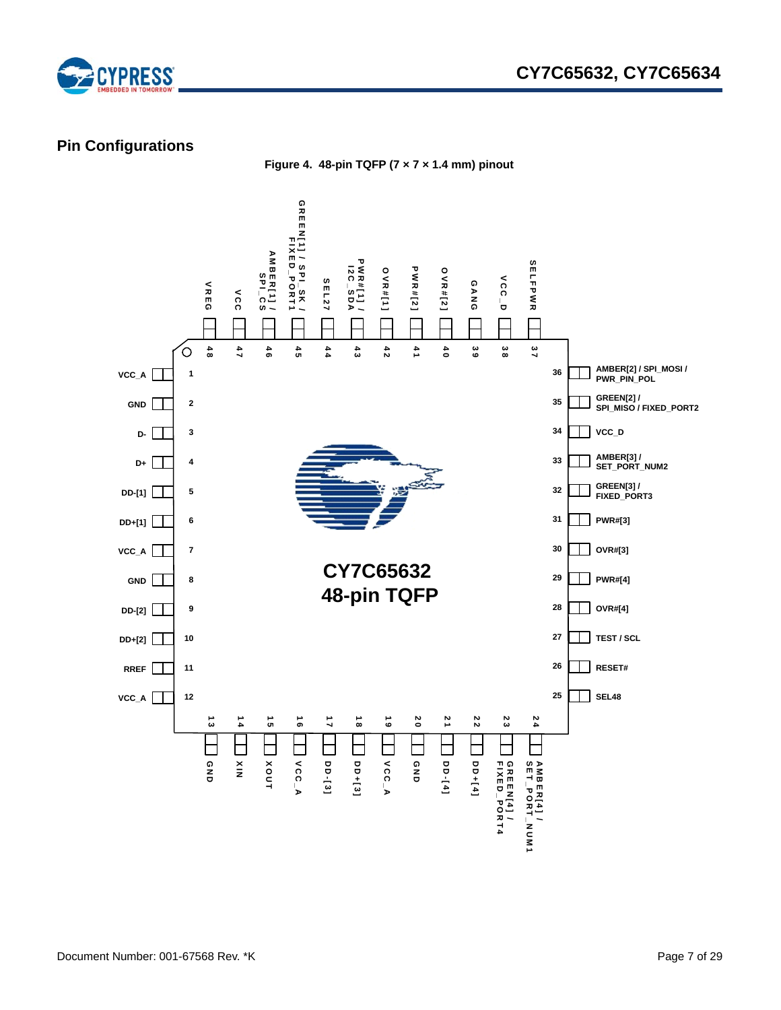

# <span id="page-6-1"></span><span id="page-6-0"></span>**Pin Configurations**

**Figure 4. 48-pin TQFP (7 × 7 × 1.4 mm) pinout**

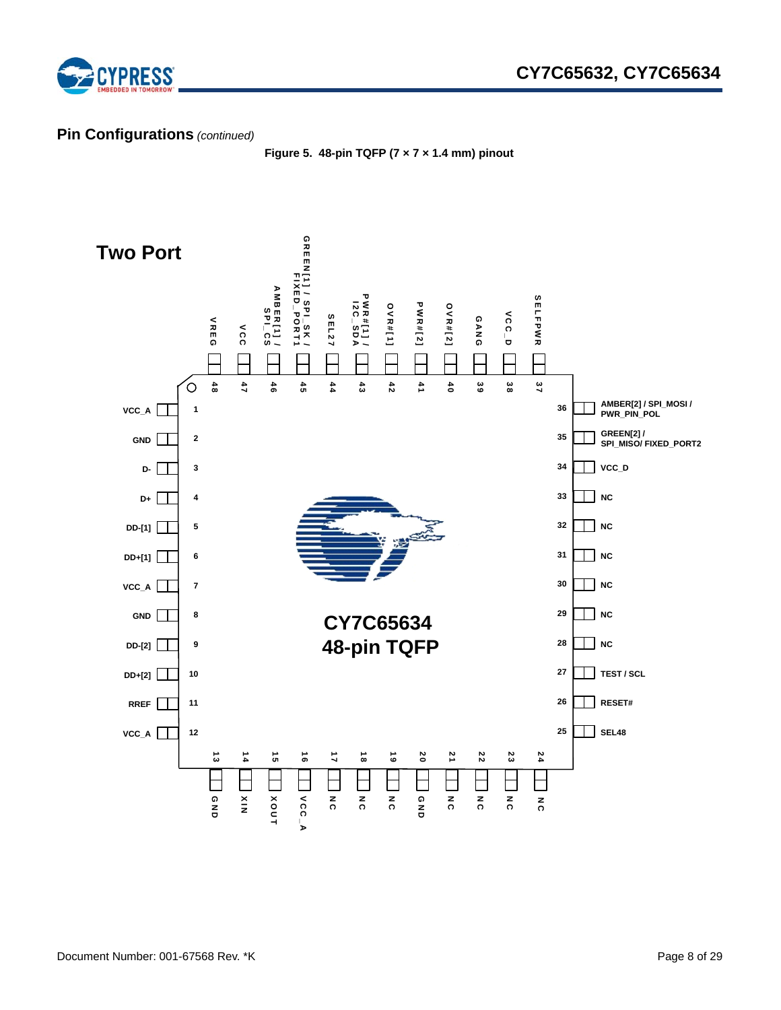

# <span id="page-7-0"></span>**Pin Configurations** *(continued)*

**Figure 5. 48-pin TQFP (7 × 7 × 1.4 mm) pinout**

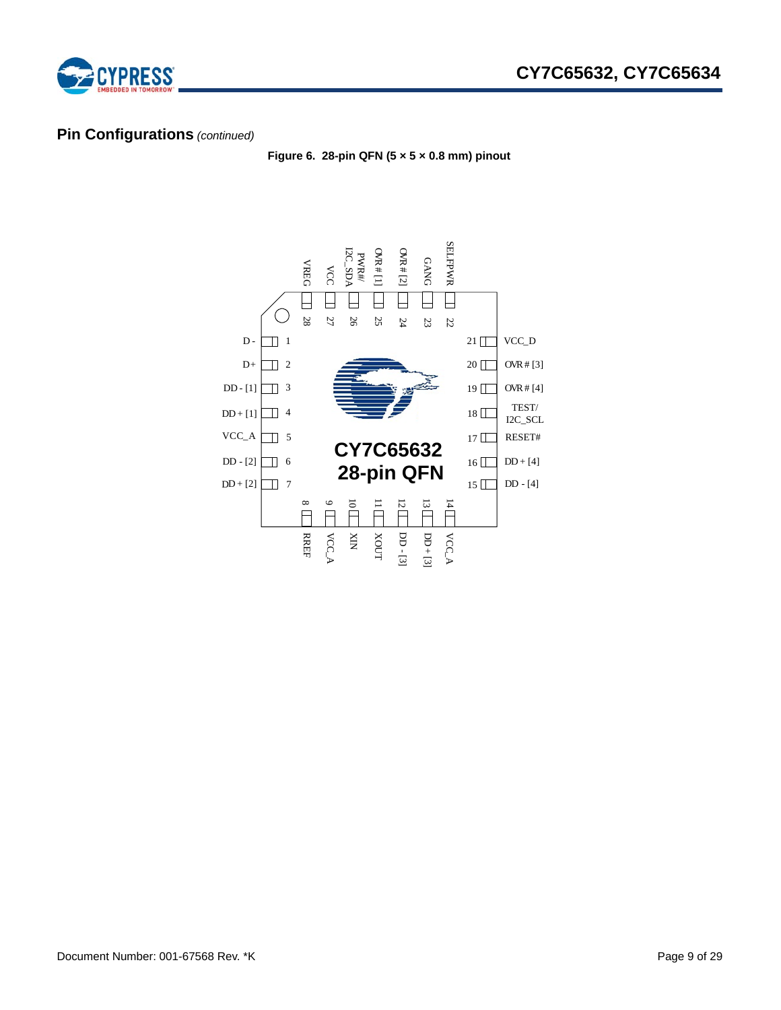

# <span id="page-8-0"></span>**Pin Configurations** *(continued)*

**Figure 6. 28-pin QFN (5 × 5 × 0.8 mm) pinout**

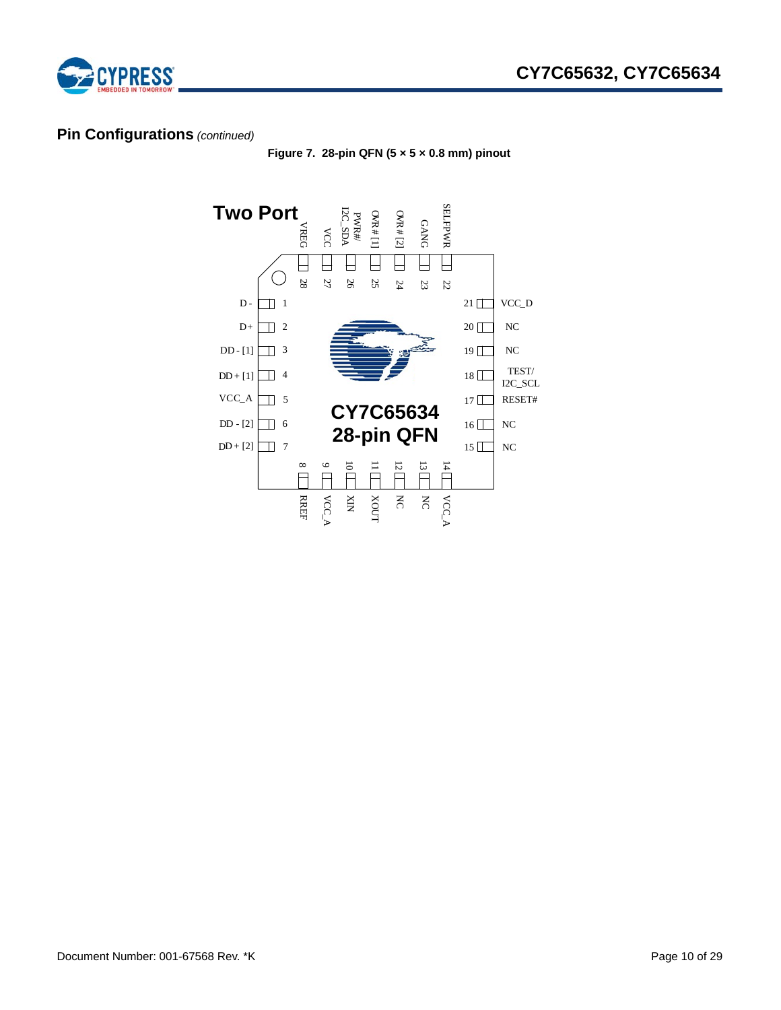



# <span id="page-9-0"></span>**Pin Configurations** *(continued)*

**Figure 7. 28-pin QFN (5 × 5 × 0.8 mm) pinout**

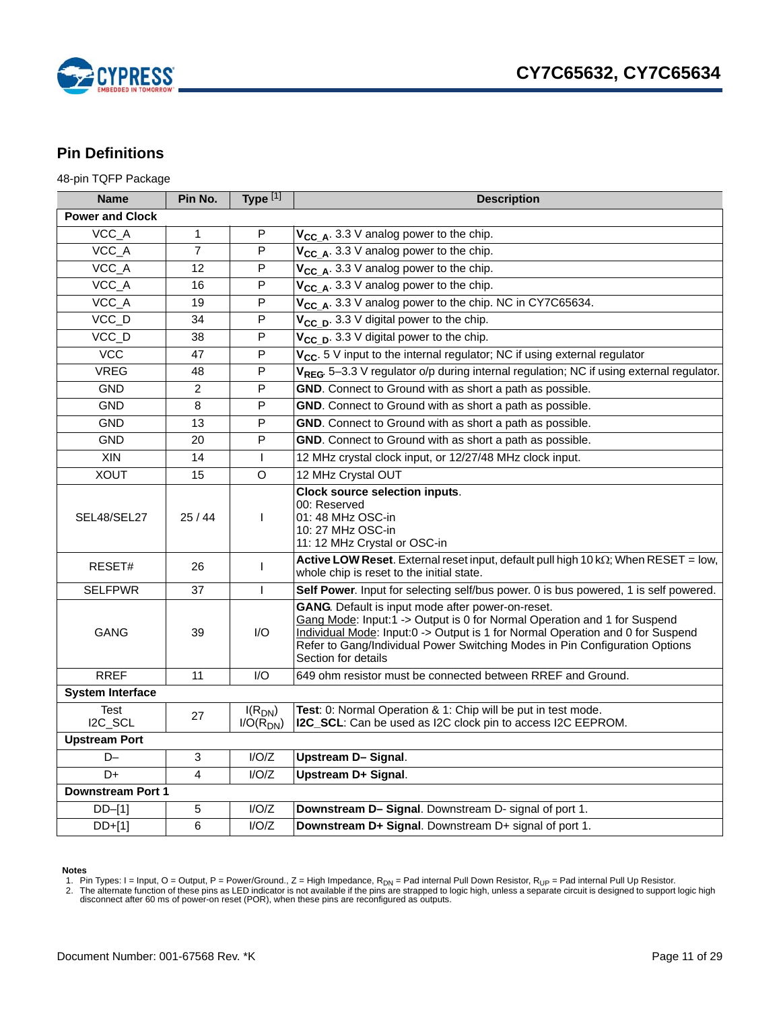



# <span id="page-10-0"></span>**Pin Definitions**

48-pin TQFP Package

| <b>Name</b>              | Pin No.        | Type [1]                     | <b>Description</b>                                                                                                                                                                                                                                                                                                    |
|--------------------------|----------------|------------------------------|-----------------------------------------------------------------------------------------------------------------------------------------------------------------------------------------------------------------------------------------------------------------------------------------------------------------------|
| <b>Power and Clock</b>   |                |                              |                                                                                                                                                                                                                                                                                                                       |
| VCC_A                    | $\mathbf{1}$   | ${\sf P}$                    | $V_{CC, A}$ . 3.3 V analog power to the chip.                                                                                                                                                                                                                                                                         |
| VCC_A                    | $\overline{7}$ | P                            | $V_{CC, A}$ . 3.3 V analog power to the chip.                                                                                                                                                                                                                                                                         |
| VCC_A                    | 12             | P                            | $V_{CC, A}$ . 3.3 V analog power to the chip.                                                                                                                                                                                                                                                                         |
| VCC_A                    | 16             | P                            | $V_{CC A}$ . 3.3 V analog power to the chip.                                                                                                                                                                                                                                                                          |
| VCC_A                    | 19             | P                            | V <sub>CC A</sub> . 3.3 V analog power to the chip. NC in CY7C65634.                                                                                                                                                                                                                                                  |
| VCC_D                    | 34             | P                            | $V_{CC}$ p. 3.3 V digital power to the chip.                                                                                                                                                                                                                                                                          |
| VCC_D                    | 38             | P                            | V <sub>CC D</sub> . 3.3 V digital power to the chip.                                                                                                                                                                                                                                                                  |
| <b>VCC</b>               | 47             | P                            | V <sub>CC</sub> . 5 V input to the internal regulator; NC if using external regulator                                                                                                                                                                                                                                 |
| <b>VREG</b>              | 48             | P                            | VREG 5-3.3 V regulator o/p during internal regulation; NC if using external regulator.                                                                                                                                                                                                                                |
| <b>GND</b>               | 2              | P                            | GND. Connect to Ground with as short a path as possible.                                                                                                                                                                                                                                                              |
| <b>GND</b>               | 8              | P                            | GND. Connect to Ground with as short a path as possible.                                                                                                                                                                                                                                                              |
| <b>GND</b>               | 13             | P                            | GND. Connect to Ground with as short a path as possible.                                                                                                                                                                                                                                                              |
| <b>GND</b>               | 20             | P                            | GND. Connect to Ground with as short a path as possible.                                                                                                                                                                                                                                                              |
| XIN                      | 14             | $\mathbf{I}$                 | 12 MHz crystal clock input, or 12/27/48 MHz clock input.                                                                                                                                                                                                                                                              |
| <b>XOUT</b>              | 15             | $\Omega$                     | 12 MHz Crystal OUT                                                                                                                                                                                                                                                                                                    |
| SEL48/SEL27              | 25/44          | T                            | <b>Clock source selection inputs.</b><br>00: Reserved<br>01: 48 MHz OSC-in<br>10: 27 MHz OSC-in<br>11: 12 MHz Crystal or OSC-in                                                                                                                                                                                       |
| RESET#                   | 26             | $\mathbf{I}$                 | Active LOW Reset. External reset input, default pull high 10 k $\Omega$ ; When RESET = low,<br>whole chip is reset to the initial state.                                                                                                                                                                              |
| <b>SELFPWR</b>           | 37             | $\mathbf{I}$                 | Self Power. Input for selecting self/bus power. 0 is bus powered, 1 is self powered.                                                                                                                                                                                                                                  |
| <b>GANG</b>              | 39             | 1/O                          | GANG. Default is input mode after power-on-reset.<br>Gang Mode: Input:1 -> Output is 0 for Normal Operation and 1 for Suspend<br>Individual Mode: Input:0 -> Output is 1 for Normal Operation and 0 for Suspend<br>Refer to Gang/Individual Power Switching Modes in Pin Configuration Options<br>Section for details |
| <b>RREF</b>              | 11             | 1/O                          | 649 ohm resistor must be connected between RREF and Ground.                                                                                                                                                                                                                                                           |
| <b>System Interface</b>  |                |                              |                                                                                                                                                                                                                                                                                                                       |
| <b>Test</b><br>I2C_SCL   | 27             | $I(R_{DN})$<br>$I/O(R_{DN})$ | Test: 0: Normal Operation & 1: Chip will be put in test mode.<br><b>I2C SCL:</b> Can be used as I2C clock pin to access I2C EEPROM.                                                                                                                                                                                   |
| <b>Upstream Port</b>     |                |                              |                                                                                                                                                                                                                                                                                                                       |
| $D-$                     | 3              | I/O/Z                        | Upstream D-Signal.                                                                                                                                                                                                                                                                                                    |
| D+                       | 4              | I/O/Z                        | Upstream D+ Signal.                                                                                                                                                                                                                                                                                                   |
| <b>Downstream Port 1</b> |                |                              |                                                                                                                                                                                                                                                                                                                       |
| $DD-[1]$                 | $\sqrt{5}$     | I/O/Z                        | Downstream D- Signal. Downstream D- signal of port 1.                                                                                                                                                                                                                                                                 |
| $DD+[1]$                 | 6              | I/O/Z                        | Downstream D+ Signal. Downstream D+ signal of port 1.                                                                                                                                                                                                                                                                 |

#### **Notes**

<span id="page-10-2"></span><span id="page-10-1"></span>1. Pin Types: I = Input, O = Output, P = Power/Ground., Z = High Impedance, R<sub>DN</sub> = Pad internal Pull Down Resistor, R<sub>UP</sub> = Pad internal Pull Up Resistor.<br>2. The alternate function of these pins as LED indicator is not av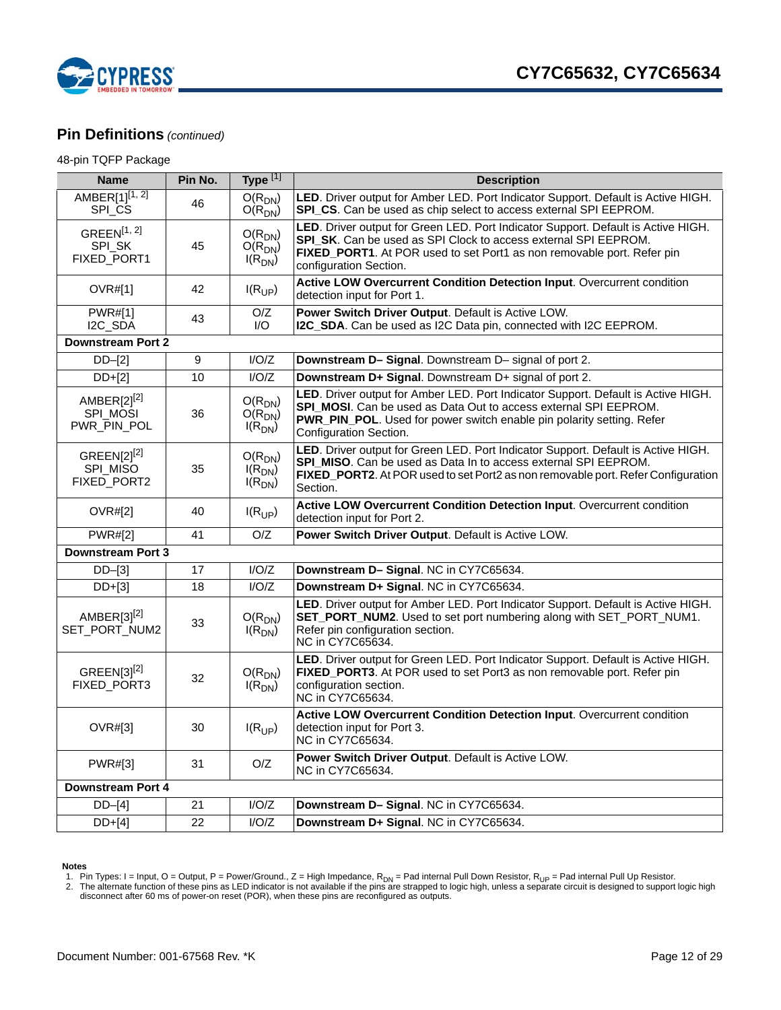

# **Pin Definitions** *(continued)*

### 48-pin TQFP Package

| <b>Name</b>                                        | Pin No. | Type <sup>[1]</sup>                       | <b>Description</b>                                                                                                                                                                                                                                       |
|----------------------------------------------------|---------|-------------------------------------------|----------------------------------------------------------------------------------------------------------------------------------------------------------------------------------------------------------------------------------------------------------|
| AMBER[1] <sup>[1, 2]</sup><br>SPI_CS               | 46      | $O(R_{DN})$<br>$O(R_{DN})$                | LED. Driver output for Amber LED. Port Indicator Support. Default is Active HIGH.<br><b>SPI CS.</b> Can be used as chip select to access external SPI EEPROM.                                                                                            |
| GREEN $[1, 2]$<br>SPI_SK<br>FIXED_PORT1            | 45      | $O(R_{DN})$<br>$O(R_{DN})$<br>$I(R_{DN})$ | LED. Driver output for Green LED. Port Indicator Support. Default is Active HIGH.<br>SPI_SK. Can be used as SPI Clock to access external SPI EEPROM.<br>FIXED_PORT1. At POR used to set Port1 as non removable port. Refer pin<br>configuration Section. |
| <b>OVR#[1]</b>                                     | 42      | $I(R_{UP})$                               | Active LOW Overcurrent Condition Detection Input. Overcurrent condition<br>detection input for Port 1.                                                                                                                                                   |
| <b>PWR#[1]</b><br>I2C_SDA                          | 43      | O/Z<br>$\mathsf{I}/\mathsf{O}$            | Power Switch Driver Output. Default is Active LOW.<br>I2C_SDA. Can be used as I2C Data pin, connected with I2C EEPROM.                                                                                                                                   |
| <b>Downstream Port 2</b>                           |         |                                           |                                                                                                                                                                                                                                                          |
| $DD-[2]$                                           | 9       | I/O/Z                                     | Downstream D- Signal. Downstream D- signal of port 2.                                                                                                                                                                                                    |
| $DD+[2]$                                           | 10      | I/O/Z                                     | Downstream D+ Signal. Downstream D+ signal of port 2.                                                                                                                                                                                                    |
| AMBER[2] <sup>[2]</sup><br>SPI_MOSI<br>PWR_PIN_POL | 36      | $O(R_{DN})$<br>$O(R_{DN})$<br>$I(R_{DN})$ | LED. Driver output for Amber LED. Port Indicator Support. Default is Active HIGH.<br>SPI_MOSI. Can be used as Data Out to access external SPI EEPROM.<br>PWR_PIN_POL. Used for power switch enable pin polarity setting. Refer<br>Configuration Section. |
| GREEN[2] <sup>[2]</sup><br>SPI MISO<br>FIXED_PORT2 | 35      | $O(R_{DN})$<br>$I(R_{DN})$<br>$I(R_{DN})$ | LED. Driver output for Green LED. Port Indicator Support. Default is Active HIGH.<br>SPI_MISO. Can be used as Data In to access external SPI EEPROM.<br>FIXED_PORT2. At POR used to set Port2 as non removable port. Refer Configuration<br>Section.     |
| OVR#[2]                                            | 40      | $I(R_{UP})$                               | Active LOW Overcurrent Condition Detection Input. Overcurrent condition<br>detection input for Port 2.                                                                                                                                                   |
| <b>PWR#[2]</b>                                     | 41      | $\overline{O/Z}$                          | Power Switch Driver Output. Default is Active LOW.                                                                                                                                                                                                       |
| <b>Downstream Port 3</b>                           |         |                                           |                                                                                                                                                                                                                                                          |
| $DD-[3]$                                           | 17      | I/O/Z                                     | Downstream D-Signal. NC in CY7C65634.                                                                                                                                                                                                                    |
| $DD+[3]$                                           | 18      | I/O/Z                                     | Downstream D+ Signal. NC in CY7C65634.                                                                                                                                                                                                                   |
| AMBER[3] <sup>[2]</sup><br>SET_PORT_NUM2           | 33      | $O(R_{DN})$<br>$I(R_{DN})$                | LED. Driver output for Amber LED. Port Indicator Support. Default is Active HIGH.<br>SET_PORT_NUM2. Used to set port numbering along with SET_PORT_NUM1.<br>Refer pin configuration section.<br>NC in CY7C65634.                                         |
| GREEN[3] <sup>[2]</sup><br>FIXED_PORT3             | 32      | $O(R_{DN})$<br>$I(R_{DN})$                | LED. Driver output for Green LED. Port Indicator Support. Default is Active HIGH.<br>FIXED_PORT3. At POR used to set Port3 as non removable port. Refer pin<br>configuration section.<br>NC in CY7C65634.                                                |
| OVR#[3]                                            | 30      | $I(R_{UP})$                               | Active LOW Overcurrent Condition Detection Input. Overcurrent condition<br>detection input for Port 3.<br>NC in CY7C65634.                                                                                                                               |
| <b>PWR#[3]</b>                                     | 31      | O/Z                                       | Power Switch Driver Output. Default is Active LOW.<br>NC in CY7C65634.                                                                                                                                                                                   |
| <b>Downstream Port 4</b>                           |         |                                           |                                                                                                                                                                                                                                                          |
| $DD-[4]$                                           | 21      | I/O/Z                                     | Downstream D- Signal. NC in CY7C65634.                                                                                                                                                                                                                   |
| $DD+[4]$                                           | 22      | I/O/Z                                     | Downstream D+ Signal. NC in CY7C65634.                                                                                                                                                                                                                   |

#### **Notes**

1. Pin Types: I = Input, O = Output, P = Power/Ground., Z = High Impedance, R<sub>DN</sub> = Pad internal Pull Down Resistor, R<sub>UP</sub> = Pad internal Pull Up Resistor.<br>2. The alternate function of these pins as LED indicator is not av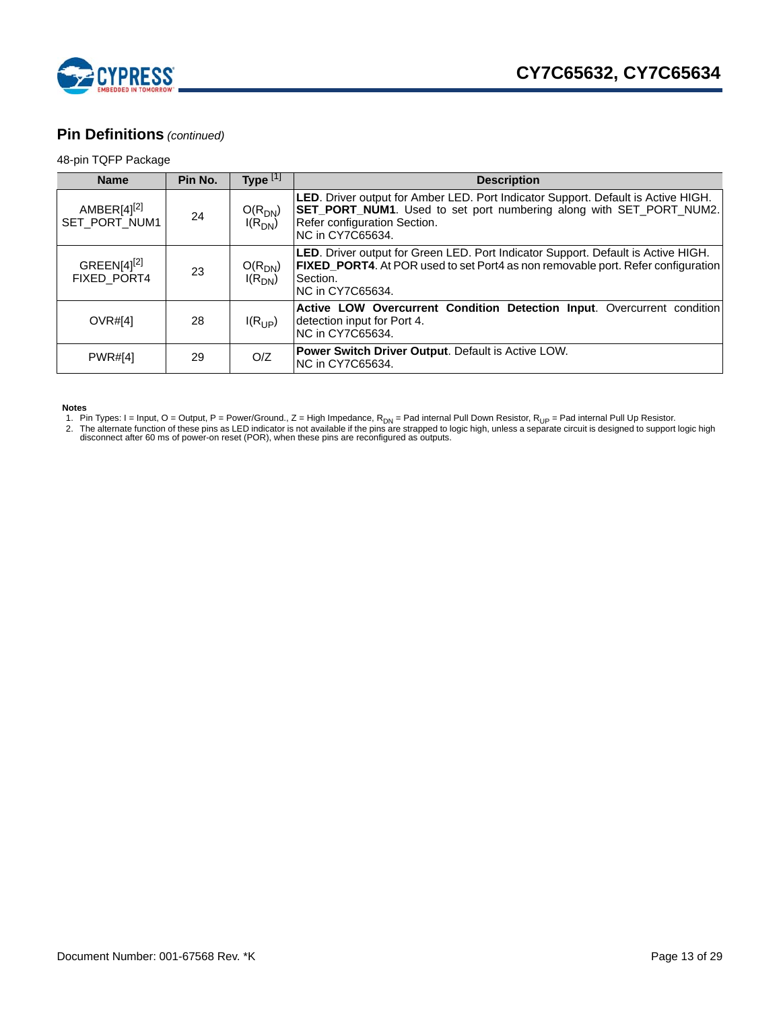

# **Pin Definitions** *(continued)*

### 48-pin TQFP Package

| <b>Name</b>                              | Pin No. | Type <sup>[1]</sup>        | <b>Description</b>                                                                                                                                                                                                   |  |  |  |
|------------------------------------------|---------|----------------------------|----------------------------------------------------------------------------------------------------------------------------------------------------------------------------------------------------------------------|--|--|--|
| AMBER[4] <sup>[2]</sup><br>SET_PORT_NUM1 | 24      | $O(R_{DN})$<br>$I(R_{DN})$ | <b>LED.</b> Driver output for Amber LED. Port Indicator Support. Default is Active HIGH.<br>SET_PORT_NUM1. Used to set port numbering along with SET_PORT_NUM2.<br>Refer configuration Section.<br>INC in CY7C65634. |  |  |  |
| GREEN[4] <sup>[2]</sup><br>FIXED_PORT4   | 23      | $O(R_{DN})$<br>$I(R_{DN})$ | LED. Driver output for Green LED. Port Indicator Support. Default is Active HIGH.<br><b>FIXED PORT4.</b> At POR used to set Port4 as non removable port. Refer configuration<br>Section.<br>INC in CY7C65634.        |  |  |  |
| OVR#[4]                                  | 28      | $I(R_{UP})$                | Active LOW Overcurrent Condition Detection Input. Overcurrent condition<br>detection input for Port 4.<br>NC in CY7C65634.                                                                                           |  |  |  |
| PWR#[4]                                  | 29      | O/Z                        | Power Switch Driver Output. Default is Active LOW.<br><b>NC in CY7C65634.</b>                                                                                                                                        |  |  |  |

#### **Notes**

1. Pin Types: I = Input, O = Output, P = Power/Ground., Z = High Impedance, R<sub>DN</sub> = Pad internal Pull Down Resistor, R<sub>UP</sub> = Pad internal Pull Up Resistor.<br>2. The alternate function of these pins as LED indicator is not av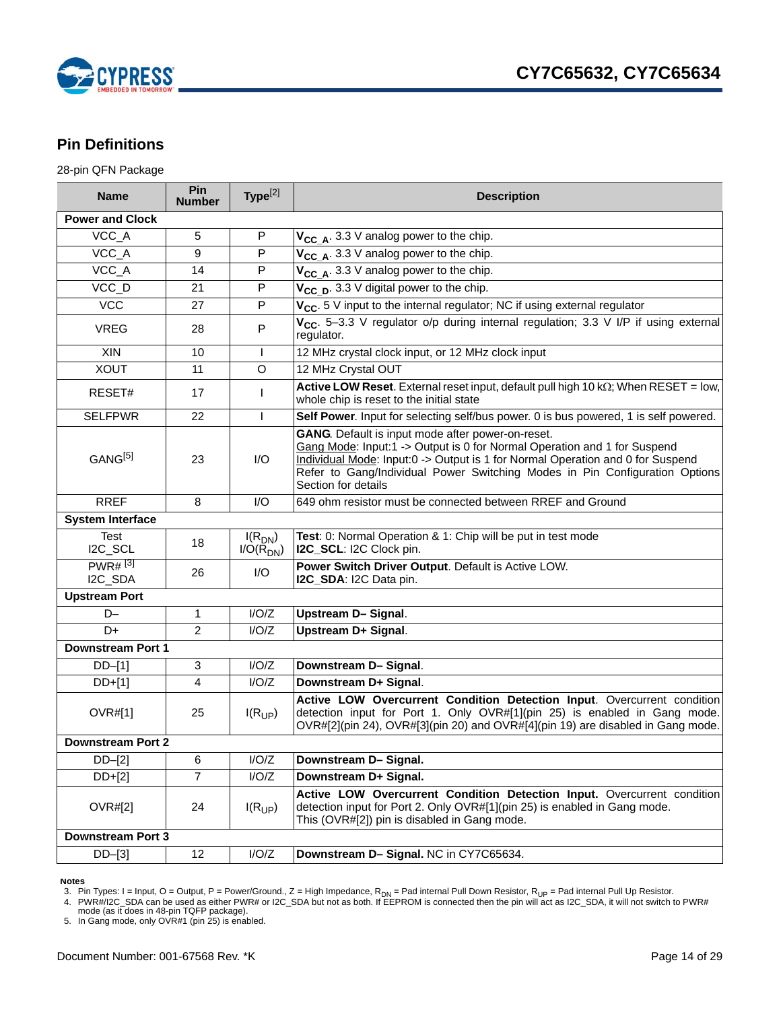

# <span id="page-13-0"></span>**Pin Definitions**

28-pin QFN Package

| <b>Name</b>              | Pin<br><b>Number</b> | Type <sup>[2]</sup>          | <b>Description</b>                                                                                                                                                                                                                                                                                                    |
|--------------------------|----------------------|------------------------------|-----------------------------------------------------------------------------------------------------------------------------------------------------------------------------------------------------------------------------------------------------------------------------------------------------------------------|
| <b>Power and Clock</b>   |                      |                              |                                                                                                                                                                                                                                                                                                                       |
| VCC_A                    | 5                    | $\mathsf P$                  | $V_{CC, A}$ . 3.3 V analog power to the chip.                                                                                                                                                                                                                                                                         |
| VCC_A                    | 9                    | $\mathsf P$                  | $V_{CC, A}$ . 3.3 V analog power to the chip.                                                                                                                                                                                                                                                                         |
| VCC_A                    | 14                   | P                            | $V_{CC-A}$ . 3.3 V analog power to the chip.                                                                                                                                                                                                                                                                          |
| VCC_D                    | 21                   | P                            | $V_{CC}$ p. 3.3 V digital power to the chip.                                                                                                                                                                                                                                                                          |
| <b>VCC</b>               | 27                   | P                            | V <sub>CC</sub> . 5 V input to the internal regulator; NC if using external regulator                                                                                                                                                                                                                                 |
| <b>VREG</b>              | 28                   | P                            | V <sub>CC</sub> . 5-3.3 V regulator o/p during internal regulation; 3.3 V I/P if using external<br>regulator.                                                                                                                                                                                                         |
| XIN                      | 10                   |                              | 12 MHz crystal clock input, or 12 MHz clock input                                                                                                                                                                                                                                                                     |
| <b>XOUT</b>              | 11                   | O                            | 12 MHz Crystal OUT                                                                                                                                                                                                                                                                                                    |
| RESET#                   | 17                   |                              | Active LOW Reset. External reset input, default pull high 10 k $\Omega$ ; When RESET = low,<br>whole chip is reset to the initial state                                                                                                                                                                               |
| <b>SELFPWR</b>           | 22                   | $\mathbf{I}$                 | Self Power. Input for selecting self/bus power. 0 is bus powered, 1 is self powered.                                                                                                                                                                                                                                  |
| GANG <sup>[5]</sup>      | 23                   | $\mathsf{I}/\mathsf{O}$      | GANG. Default is input mode after power-on-reset.<br>Gang Mode: Input:1 -> Output is 0 for Normal Operation and 1 for Suspend<br>Individual Mode: Input:0 -> Output is 1 for Normal Operation and 0 for Suspend<br>Refer to Gang/Individual Power Switching Modes in Pin Configuration Options<br>Section for details |
| <b>RREF</b>              | 8                    | $\mathsf{I}/\mathsf{O}$      | 649 ohm resistor must be connected between RREF and Ground                                                                                                                                                                                                                                                            |
| <b>System Interface</b>  |                      |                              |                                                                                                                                                                                                                                                                                                                       |
| <b>Test</b><br>I2C_SCL   | 18                   | $I(R_{DN})$<br>$I/O(R_{DN})$ | Test: 0: Normal Operation & 1: Chip will be put in test mode<br>I2C_SCL: I2C Clock pin.                                                                                                                                                                                                                               |
| $PWR#^{[3]}$<br>I2C_SDA  | 26                   | $\mathsf{I}/\mathsf{O}$      | Power Switch Driver Output. Default is Active LOW.<br>I2C_SDA: I2C Data pin.                                                                                                                                                                                                                                          |
| <b>Upstream Port</b>     |                      |                              |                                                                                                                                                                                                                                                                                                                       |
| $D -$                    | $\mathbf{1}$         | I/O/Z                        | Upstream D-Signal.                                                                                                                                                                                                                                                                                                    |
| D+                       | 2                    | I/O/Z                        | Upstream D+ Signal.                                                                                                                                                                                                                                                                                                   |
| <b>Downstream Port 1</b> |                      |                              |                                                                                                                                                                                                                                                                                                                       |
| $DD-[1]$                 | 3                    | I/O/Z                        | Downstream D-Signal.                                                                                                                                                                                                                                                                                                  |
| $DD+[1]$                 | $\overline{4}$       | I/O/Z                        | Downstream D+ Signal.                                                                                                                                                                                                                                                                                                 |
| OVR#[1]                  | 25                   | $I(R_{UP})$                  | Active LOW Overcurrent Condition Detection Input. Overcurrent condition<br>detection input for Port 1. Only OVR#[1](pin 25) is enabled in Gang mode.<br>OVR#[2](pin 24), OVR#[3](pin 20) and OVR#[4](pin 19) are disabled in Gang mode.                                                                               |
| <b>Downstream Port 2</b> |                      |                              |                                                                                                                                                                                                                                                                                                                       |
| $DD-[2]$                 | 6                    | I/O/Z                        | Downstream D-Signal.                                                                                                                                                                                                                                                                                                  |
| $DD+[2]$                 | $\overline{7}$       | I/O/Z                        | Downstream D+ Signal.                                                                                                                                                                                                                                                                                                 |
| OVR#[2]                  | 24                   | $I(R_{UP})$                  | Active LOW Overcurrent Condition Detection Input. Overcurrent condition<br>detection input for Port 2. Only OVR#[1](pin 25) is enabled in Gang mode.<br>This (OVR#[2]) pin is disabled in Gang mode.                                                                                                                  |
| <b>Downstream Port 3</b> |                      |                              |                                                                                                                                                                                                                                                                                                                       |
| $DD-[3]$                 | 12                   | I/O/Z                        | Downstream D- Signal. NC in CY7C65634.                                                                                                                                                                                                                                                                                |

#### **Notes**

3. Pin Types: I = Input, O = Output, P = Power/Ground., Z = High Impedance, R<sub>DN</sub> = Pad internal Pull Down Resistor, R<sub>UP</sub> = Pad internal Pull Up Resistor.<br>4. PWR#/I2C\_SDA can be used as either PWR# or I2C\_SDA but not

<span id="page-13-1"></span>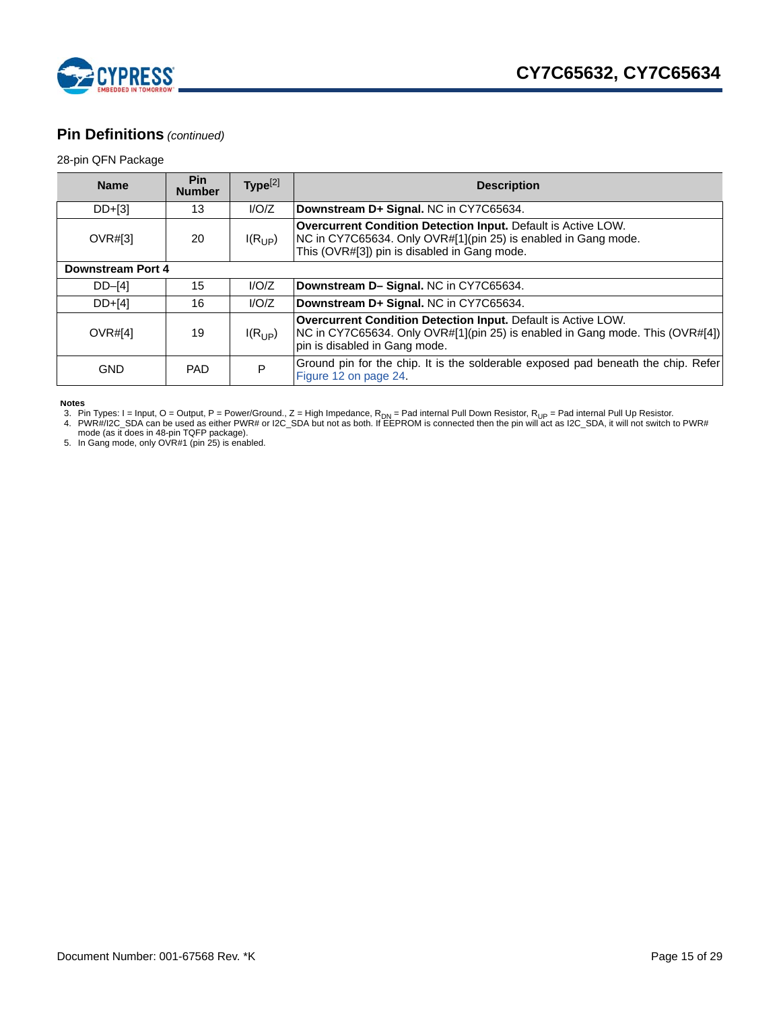

# **Pin Definitions** *(continued)*

### 28-pin QFN Package

| <b>Name</b>              | <b>Pin</b><br><b>Number</b> | Type <sup>[2]</sup> | <b>Description</b>                                                                                                                                                                     |  |
|--------------------------|-----------------------------|---------------------|----------------------------------------------------------------------------------------------------------------------------------------------------------------------------------------|--|
| DD+[3]                   | 13                          | I/O/Z               | Downstream D+ Signal. NC in CY7C65634.                                                                                                                                                 |  |
| OVR#[3]                  | 20                          | I(R <sub>UP</sub> ) | <b>Overcurrent Condition Detection Input.</b> Default is Active LOW.<br>NC in CY7C65634. Only OVR#[1](pin 25) is enabled in Gang mode.<br>This (OVR#[3]) pin is disabled in Gang mode. |  |
| <b>Downstream Port 4</b> |                             |                     |                                                                                                                                                                                        |  |
| $DD-[4]$                 | 15                          | I/O/Z               | Downstream D-Signal. NC in CY7C65634.                                                                                                                                                  |  |
| $DD+[4]$                 | 16                          | I/O/Z               | Downstream D+ Signal. NC in CY7C65634.                                                                                                                                                 |  |
| OVR#[4]                  | 19                          | $I(R_{UP})$         | <b>Overcurrent Condition Detection Input.</b> Default is Active LOW.<br>NC in CY7C65634. Only OVR#[1](pin 25) is enabled in Gang mode. This (OVR#[4])<br>pin is disabled in Gang mode. |  |
| <b>GND</b>               | <b>PAD</b>                  | P                   | Ground pin for the chip. It is the solderable exposed pad beneath the chip. Refer<br>Figure 12 on page 24.                                                                             |  |

#### **Notes**

3. Pin Types: I = Input, O = Output, P = Power/Ground., Z = High Impedance, R<sub>DN</sub> = Pad internal Pull Down Resistor, R<sub>UP</sub> = Pad internal Pull Up Resistor.<br>4. PWR#/I2C\_SDA can be used as either PWR# or I2C\_SDA but not as b

5. In Gang mode, only OVR#1 (pin 25) is enabled.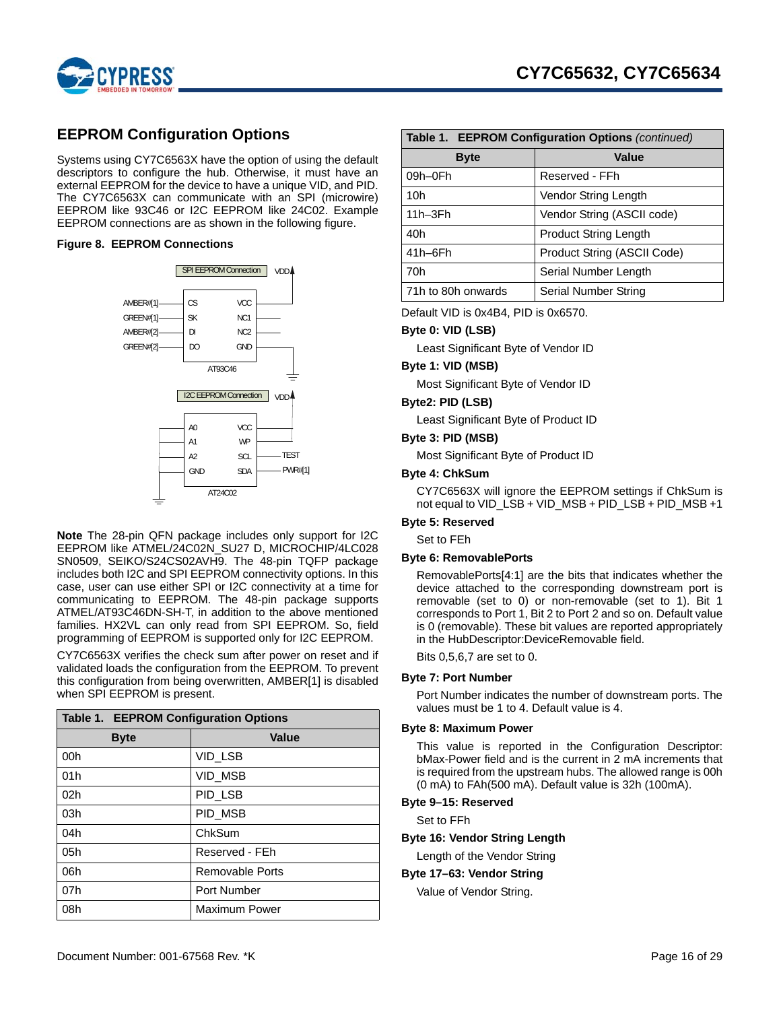

# <span id="page-15-0"></span>**EEPROM Configuration Options**

Systems using CY7C6563X have the option of using the default descriptors to configure the hub. Otherwise, it must have an external EEPROM for the device to have a unique VID, and PID. The CY7C6563X can communicate with an SPI (microwire) EEPROM like 93C46 or I2C EEPROM like 24C02. Example EEPROM connections are as shown in the following figure.

### **Figure 8. EEPROM Connections**



**Note** The 28-pin QFN package includes only support for I2C EEPROM like ATMEL/24C02N\_SU27 D, MICROCHIP/4LC028 SN0509, SEIKO/S24CS02AVH9. The 48-pin TQFP package includes both I2C and SPI EEPROM connectivity options. In this case, user can use either SPI or I2C connectivity at a time for communicating to EEPROM. The 48-pin package supports ATMEL/AT93C46DN-SH-T, in addition to the above mentioned families. HX2VL can only read from SPI EEPROM. So, field programming of EEPROM is supported only for I2C EEPROM.

CY7C6563X verifies the check sum after power on reset and if validated loads the configuration from the EEPROM. To prevent this configuration from being overwritten, AMBER[1] is disabled when SPI EEPROM is present.

| <b>Table 1. EEPROM Configuration Options</b> |                      |  |  |  |
|----------------------------------------------|----------------------|--|--|--|
| <b>Byte</b>                                  | <b>Value</b>         |  |  |  |
| 00h                                          | VID_LSB              |  |  |  |
| 01h                                          | VID MSB              |  |  |  |
| 02 <sub>h</sub>                              | PID LSB              |  |  |  |
| 03h                                          | PID MSB              |  |  |  |
| 04h                                          | ChkSum               |  |  |  |
| 05h                                          | Reserved - FEh       |  |  |  |
| 06h                                          | Removable Ports      |  |  |  |
| 07h                                          | Port Number          |  |  |  |
| 08h                                          | <b>Maximum Power</b> |  |  |  |

| Table 1. EEPROM Configuration Options (continued) |                             |  |  |  |
|---------------------------------------------------|-----------------------------|--|--|--|
| Value<br><b>Byte</b>                              |                             |  |  |  |
| 09h-0Fh                                           | Reserved - FFh              |  |  |  |
| 10h                                               | Vendor String Length        |  |  |  |
| $11h-3Fh$                                         | Vendor String (ASCII code)  |  |  |  |
| 40h                                               | Product String Length       |  |  |  |
| 41h-6Fh                                           | Product String (ASCII Code) |  |  |  |
| 70h                                               | Serial Number Length        |  |  |  |
| 71h to 80h onwards                                | Serial Number String        |  |  |  |

Default VID is 0x4B4, PID is 0x6570.

#### **Byte 0: VID (LSB)**

Least Significant Byte of Vendor ID

#### **Byte 1: VID (MSB)**

Most Significant Byte of Vendor ID

#### **Byte2: PID (LSB)**

Least Significant Byte of Product ID

### **Byte 3: PID (MSB)**

Most Significant Byte of Product ID

#### **Byte 4: ChkSum**

CY7C6563X will ignore the EEPROM settings if ChkSum is not equal to VID\_LSB + VID\_MSB + PID\_LSB + PID\_MSB +1

### **Byte 5: Reserved**

Set to FEh

### **Byte 6: RemovablePorts**

RemovablePorts[4:1] are the bits that indicates whether the device attached to the corresponding downstream port is removable (set to 0) or non-removable (set to 1). Bit 1 corresponds to Port 1, Bit 2 to Port 2 and so on. Default value is 0 (removable). These bit values are reported appropriately in the HubDescriptor:DeviceRemovable field.

Bits 0,5,6,7 are set to 0.

#### **Byte 7: Port Number**

Port Number indicates the number of downstream ports. The values must be 1 to 4. Default value is 4.

#### **Byte 8: Maximum Power**

This value is reported in the Configuration Descriptor: bMax-Power field and is the current in 2 mA increments that is required from the upstream hubs. The allowed range is 00h (0 mA) to FAh(500 mA). Default value is 32h (100mA).

### **Byte 9–15: Reserved**

Set to FFh

#### **Byte 16: Vendor String Length**

Length of the Vendor String

#### **Byte 17–63: Vendor String**

Value of Vendor String.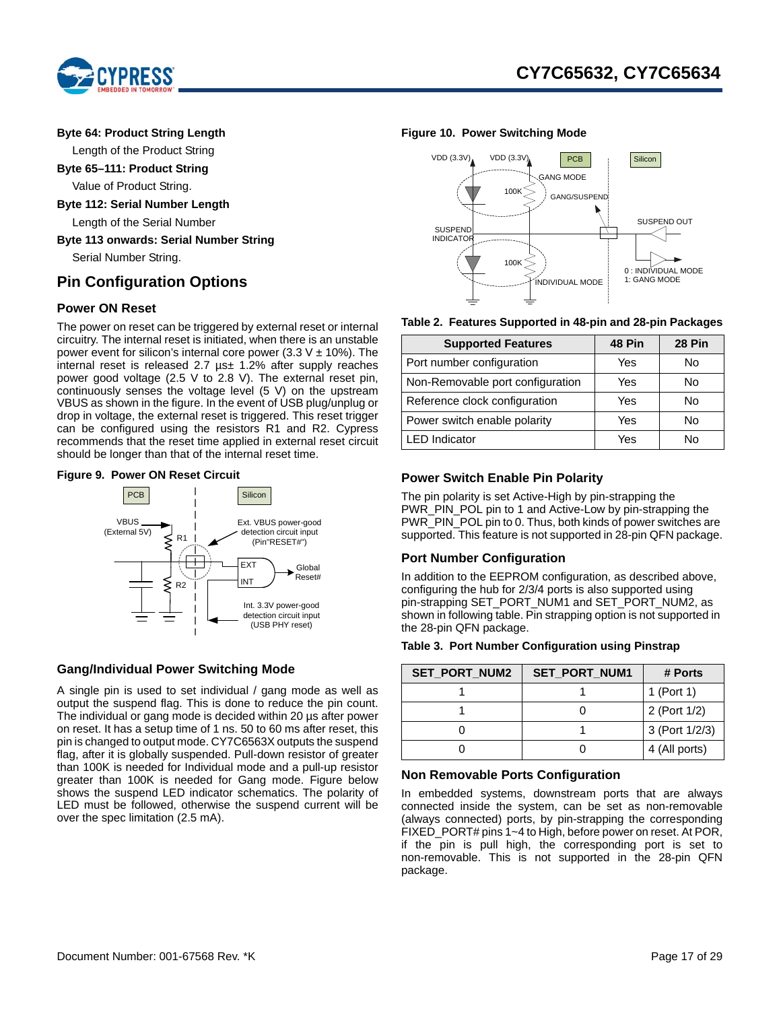



### **Byte 64: Product String Length**

Length of the Product String

**Byte 65–111: Product String**

Value of Product String.

**Byte 112: Serial Number Length**

Length of the Serial Number

**Byte 113 onwards: Serial Number String**

Serial Number String.

# <span id="page-16-0"></span>**Pin Configuration Options**

### <span id="page-16-1"></span>**Power ON Reset**

The power on reset can be triggered by external reset or internal circuitry. The internal reset is initiated, when there is an unstable power event for silicon's internal core power (3.3  $V \pm 10\%$ ). The internal reset is released 2.7  $\mu$ s $\pm$  1.2% after supply reaches power good voltage (2.5 V to 2.8 V). The external reset pin, continuously senses the voltage level (5 V) on the upstream VBUS as shown in the figure. In the event of USB plug/unplug or drop in voltage, the external reset is triggered. This reset trigger can be configured using the resistors R1 and R2. Cypress recommends that the reset time applied in external reset circuit should be longer than that of the internal reset time.

### **Figure 9. Power ON Reset Circuit**



# <span id="page-16-2"></span>**Gang/Individual Power Switching Mode**

A single pin is used to set individual / gang mode as well as output the suspend flag. This is done to reduce the pin count. The individual or gang mode is decided within 20 µs after power on reset. It has a setup time of 1 ns. 50 to 60 ms after reset, this pin is changed to output mode. CY7C6563X outputs the suspend flag, after it is globally suspended. Pull-down resistor of greater than 100K is needed for Individual mode and a pull-up resistor greater than 100K is needed for Gang mode. Figure below shows the suspend LED indicator schematics. The polarity of LED must be followed, otherwise the suspend current will be over the spec limitation (2.5 mA).

### **Figure 10. Power Switching Mode**



|  | Table 2. Features Supported in 48-pin and 28-pin Packages |  |  |  |  |  |  |  |  |  |
|--|-----------------------------------------------------------|--|--|--|--|--|--|--|--|--|
|--|-----------------------------------------------------------|--|--|--|--|--|--|--|--|--|

| <b>Supported Features</b>        | 48 Pin | <b>28 Pin</b> |
|----------------------------------|--------|---------------|
| Port number configuration        | Yes    | N٥            |
| Non-Removable port configuration | Yes    | Nο            |
| Reference clock configuration    | Yes    | No            |
| Power switch enable polarity     | Yes    | No            |
| <b>LED</b> Indicator             | Yes    | N٥            |

### <span id="page-16-3"></span>**Power Switch Enable Pin Polarity**

The pin polarity is set Active-High by pin-strapping the PWR\_PIN\_POL pin to 1 and Active-Low by pin-strapping the PWR\_PIN\_POL pin to 0. Thus, both kinds of power switches are supported. This feature is not supported in 28-pin QFN package.

### <span id="page-16-4"></span>**Port Number Configuration**

In addition to the EEPROM configuration, as described above, configuring the hub for 2/3/4 ports is also supported using pin-strapping SET\_PORT\_NUM1 and SET\_PORT\_NUM2, as shown in following table. Pin strapping option is not supported in the 28-pin QFN package.

#### **Table 3. Port Number Configuration using Pinstrap**

| <b>SET PORT NUM2</b> | <b>SET PORT NUM1</b> | # Ports        |
|----------------------|----------------------|----------------|
|                      |                      | 1 (Port 1)     |
|                      |                      | 2 (Port 1/2)   |
|                      |                      | 3 (Port 1/2/3) |
|                      |                      | 4 (All ports)  |

### <span id="page-16-5"></span>**Non Removable Ports Configuration**

In embedded systems, downstream ports that are always connected inside the system, can be set as non-removable (always connected) ports, by pin-strapping the corresponding FIXED\_PORT# pins 1~4 to High, before power on reset. At POR, if the pin is pull high, the corresponding port is set to non-removable. This is not supported in the 28-pin QFN package.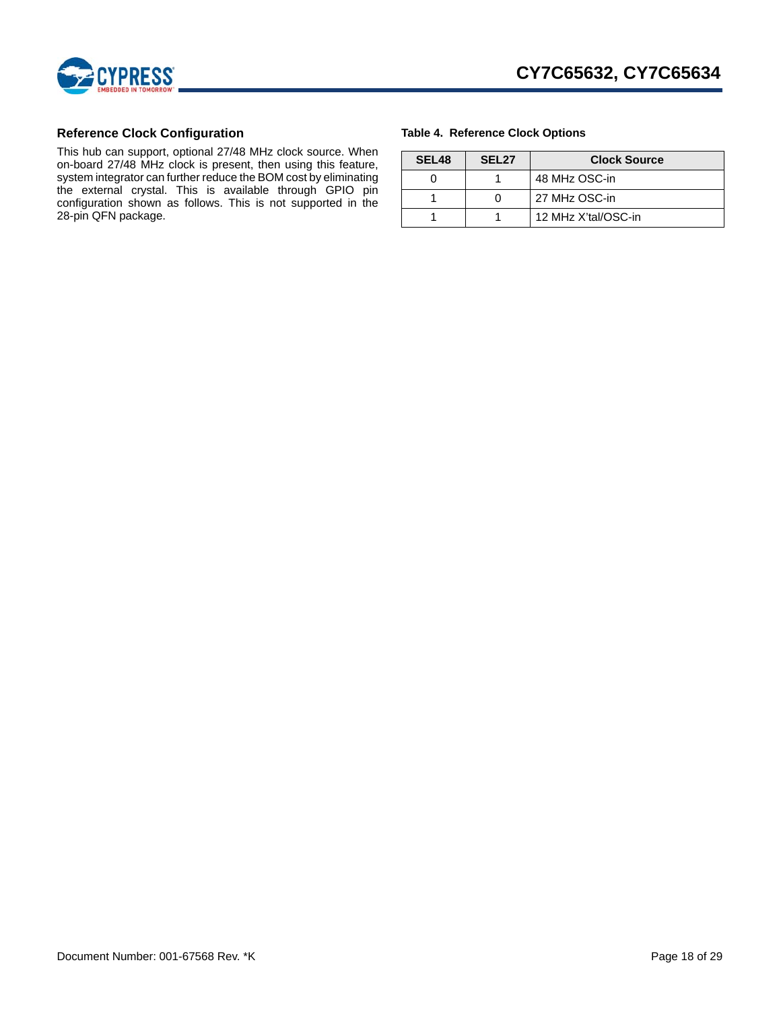

# <span id="page-17-0"></span>**Reference Clock Configuration**

This hub can support, optional 27/48 MHz clock source. When on-board 27/48 MHz clock is present, then using this feature, system integrator can further reduce the BOM cost by eliminating the external crystal. This is available through GPIO pin configuration shown as follows. This is not supported in the 28-pin QFN package.

### **Table 4. Reference Clock Options**

| SEL <sub>48</sub> | SEL <sub>27</sub> | <b>Clock Source</b> |
|-------------------|-------------------|---------------------|
|                   |                   | 48 MHz OSC-in       |
|                   |                   | 27 MHz OSC-in       |
|                   |                   | 12 MHz X'tal/OSC-in |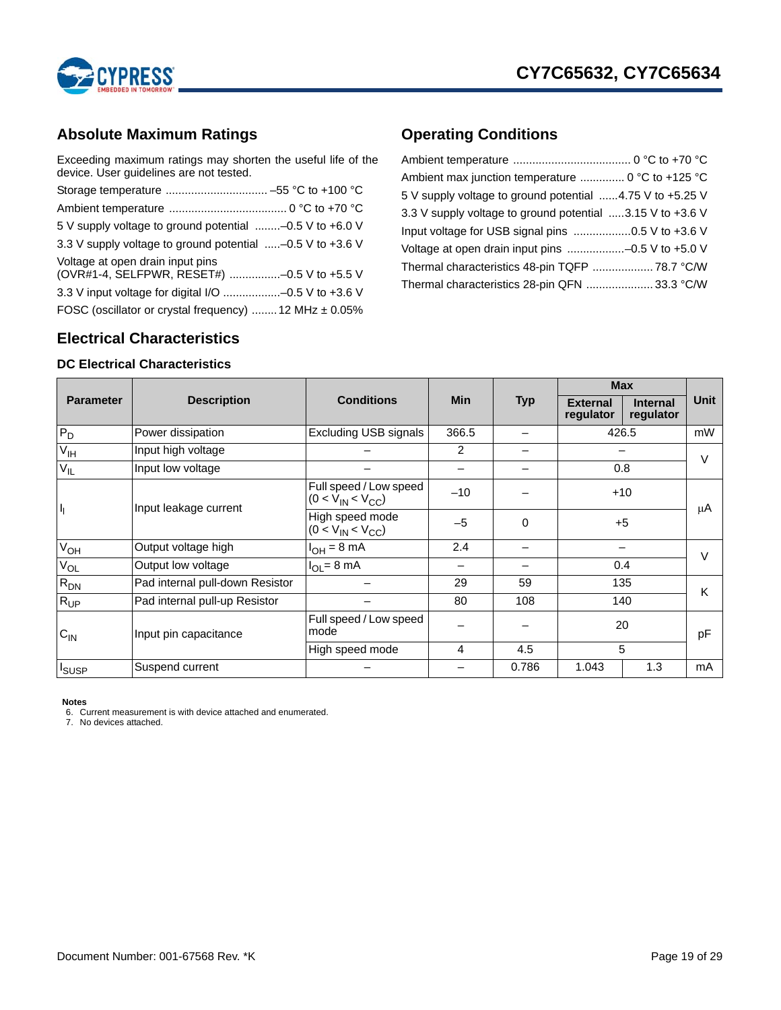

# <span id="page-18-0"></span>**Absolute Maximum Ratings**

Exceeding maximum ratings may shorten the useful life of the device. User guidelines are not tested.

| 5 V supply voltage to ground potential -0.5 V to +6.0 V                         |  |
|---------------------------------------------------------------------------------|--|
| 3.3 V supply voltage to ground potential  -0.5 V to +3.6 V                      |  |
| Voltage at open drain input pins<br>(OVR#1-4, SELFPWR, RESET#) -0.5 V to +5.5 V |  |
| 3.3 V input voltage for digital I/O -0.5 V to +3.6 V                            |  |
| FOSC (oscillator or crystal frequency)  12 MHz ± 0.05%                          |  |

# <span id="page-18-2"></span>**Electrical Characteristics**

### <span id="page-18-3"></span>**DC Electrical Characteristics**

# <span id="page-18-1"></span>**Operating Conditions**

| Ambient max junction temperature  0 °C to +125 °C         |
|-----------------------------------------------------------|
| 5 V supply voltage to ground potential 4.75 V to +5.25 V  |
| 3.3 V supply voltage to ground potential 3.15 V to +3.6 V |
| Input voltage for USB signal pins 0.5 V to +3.6 V         |
|                                                           |
|                                                           |
| Thermal characteristics 28-pin QFN  33.3 °C/W             |

|                         |                                 |                                                   |            | <b>Typ</b> | <b>Max</b>                   |                              |        |
|-------------------------|---------------------------------|---------------------------------------------------|------------|------------|------------------------------|------------------------------|--------|
| <b>Parameter</b>        | <b>Description</b>              | <b>Conditions</b>                                 | <b>Min</b> |            | <b>External</b><br>regulator | <b>Internal</b><br>regulator | Unit   |
| $P_D$                   | Power dissipation               | Excluding USB signals                             | 366.5      |            |                              | 426.5                        | mW     |
| $V_{\text{IH}}$         | Input high voltage              |                                                   | 2          |            |                              |                              | $\vee$ |
| $V_{IL}$                | Input low voltage               |                                                   |            |            |                              | 0.8                          |        |
| $\mathsf{I}_\mathrm{l}$ | Input leakage current           | Full speed / Low speed<br>$(0 < V_{IN} < V_{CC})$ | $-10$      |            | $+10$                        |                              | μA     |
|                         |                                 | High speed mode<br>$(0 < V_{IN} < V_{CC})$        | $-5$       | 0          | $+5$                         |                              |        |
| V <sub>OH</sub>         | Output voltage high             | $IOH = 8 mA$                                      | 2.4        |            |                              |                              | $\vee$ |
| $V_{OL}$                | Output low voltage              | $I_{OL} = 8 \text{ mA}$                           |            |            | 0.4                          |                              |        |
| $R_{DN}$                | Pad internal pull-down Resistor |                                                   | 29         | 59         | 135                          |                              | K      |
| $R_{UP}$                | Pad internal pull-up Resistor   |                                                   | 80         | 108        | 140                          |                              |        |
| $C_{IN}$                | Input pin capacitance           | Full speed / Low speed<br>mode                    |            |            |                              | 20                           | рF     |
|                         |                                 | High speed mode                                   | 4          | 4.5        |                              | 5                            |        |
| I <sub>SUSP</sub>       | Suspend current                 |                                                   |            | 0.786      | 1.043                        | 1.3                          | mA     |

#### **Notes**

<span id="page-18-4"></span>6. Current measurement is with device attached and enumerated. 7. No devices attached.

<span id="page-18-5"></span>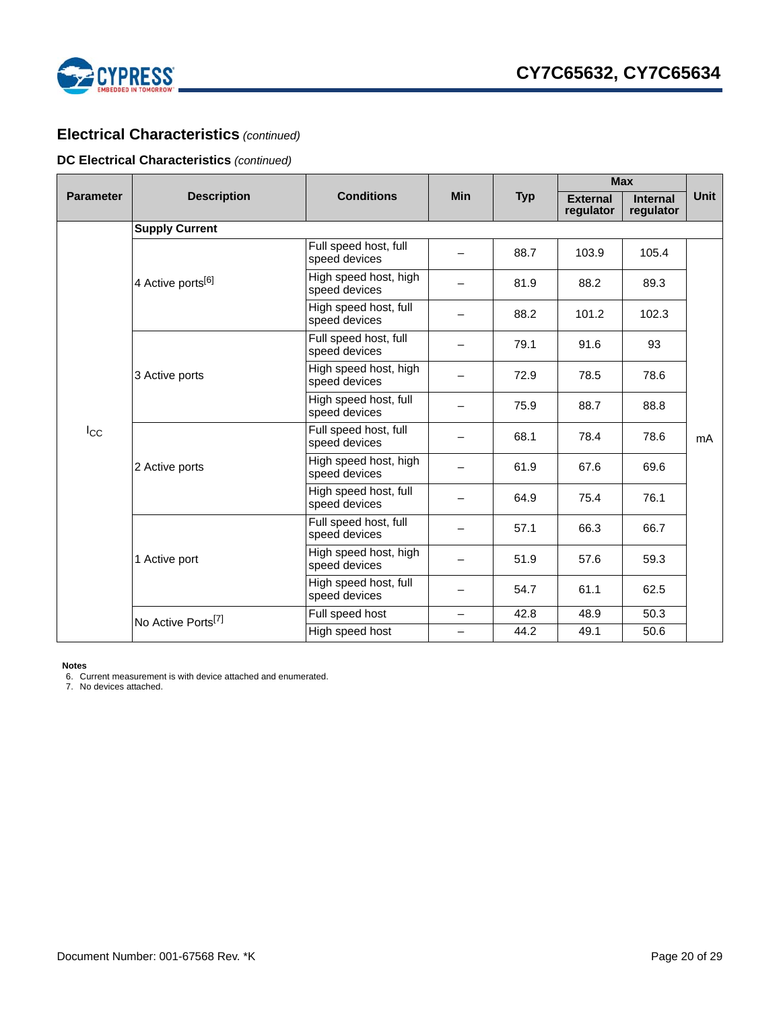

# **Electrical Characteristics** *(continued)*

# **DC Electrical Characteristics** *(continued)*

|                  | <b>Description</b>             | <b>Conditions</b>                      | <b>Min</b>               | <b>Typ</b> | <b>Max</b>                   |                              |      |
|------------------|--------------------------------|----------------------------------------|--------------------------|------------|------------------------------|------------------------------|------|
| <b>Parameter</b> |                                |                                        |                          |            | <b>External</b><br>regulator | <b>Internal</b><br>regulator | Unit |
|                  | <b>Supply Current</b>          |                                        |                          |            |                              |                              |      |
|                  |                                | Full speed host, full<br>speed devices |                          | 88.7       | 103.9                        | 105.4                        |      |
|                  | 4 Active ports <sup>[6]</sup>  | High speed host, high<br>speed devices |                          | 81.9       | 88.2                         | 89.3                         |      |
|                  |                                | High speed host, full<br>speed devices |                          | 88.2       | 101.2                        | 102.3                        |      |
|                  |                                | Full speed host, full<br>speed devices |                          | 79.1       | 91.6                         | 93                           |      |
|                  | 3 Active ports                 | High speed host, high<br>speed devices |                          | 72.9       | 78.5                         | 78.6                         |      |
|                  |                                | High speed host, full<br>speed devices |                          | 75.9       | 88.7                         | 88.8                         |      |
| $I_{\rm CC}$     | 2 Active ports                 | Full speed host, full<br>speed devices |                          | 68.1       | 78.4                         | 78.6                         | mA   |
|                  |                                | High speed host, high<br>speed devices |                          | 61.9       | 67.6                         | 69.6                         |      |
|                  |                                | High speed host, full<br>speed devices |                          | 64.9       | 75.4                         | 76.1                         |      |
|                  | 1 Active port                  | Full speed host, full<br>speed devices |                          | 57.1       | 66.3                         | 66.7                         |      |
|                  |                                | High speed host, high<br>speed devices |                          | 51.9       | 57.6                         | 59.3                         |      |
|                  |                                | High speed host, full<br>speed devices |                          | 54.7       | 61.1                         | 62.5                         |      |
|                  | No Active Ports <sup>[7]</sup> | Full speed host                        | —                        | 42.8       | 48.9                         | 50.3                         |      |
|                  |                                | High speed host                        | $\overline{\phantom{0}}$ | 44.2       | 49.1                         | 50.6                         |      |

**Notes** 6. Current measurement is with device attached and enumerated.

7. No devices attached.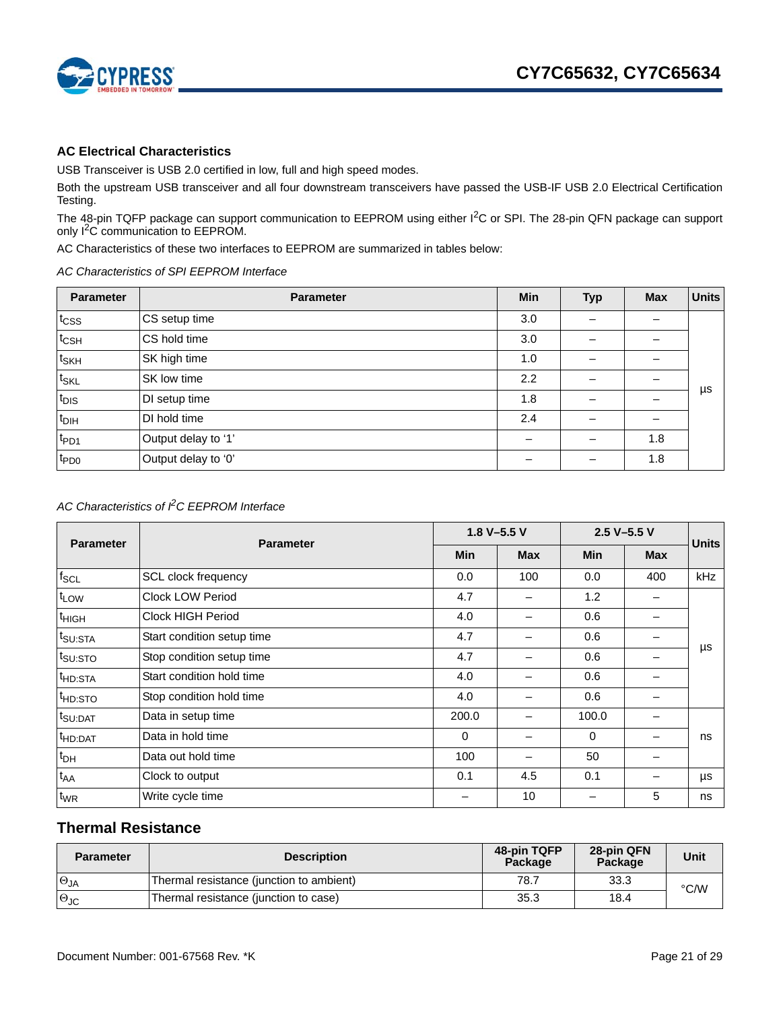

# <span id="page-20-0"></span>**AC Electrical Characteristics**

USB Transceiver is USB 2.0 certified in low, full and high speed modes.

Both the upstream USB transceiver and all four downstream transceivers have passed the USB-IF USB 2.0 Electrical Certification Testing.

The 48-pin TQFP package can support communication to EEPROM using either I<sup>2</sup>C or SPI. The 28-pin QFN package can support only I<sup>2</sup>C communication to EEPROM.

AC Characteristics of these two interfaces to EEPROM are summarized in tables below:

*AC Characteristics of SPI EEPROM Interface*

| <b>Parameter</b>   | <b>Parameter</b>    | <b>Min</b> | <b>Typ</b> | <b>Max</b> | <b>Units</b> |
|--------------------|---------------------|------------|------------|------------|--------------|
| $t_{\text{CSS}}$   | CS setup time       | 3.0        |            |            |              |
| $t_{\text{CSH}}$   | CS hold time        | 3.0        |            |            |              |
| $t_{\mathsf{SKH}}$ | SK high time        | 1.0        |            |            |              |
| $t_{SKL}$          | SK low time         |            |            |            |              |
| $t_{DIS}$          | DI setup time       |            |            |            | μs           |
| $t_{\text{DH}}$    | DI hold time        | 2.4        |            |            |              |
| t <sub>PD1</sub>   | Output delay to '1' |            |            | 1.8        |              |
| $t_{PDO}$          | Output delay to '0' |            |            | 1.8        |              |

# *AC Characteristics of I2C EEPROM Interface*

| <b>Parameter</b>    | <b>Parameter</b>           | 1.8 V-5.5 V |            | $2.5 V - 5.5 V$ |            | <b>Units</b> |
|---------------------|----------------------------|-------------|------------|-----------------|------------|--------------|
|                     |                            | Min         | <b>Max</b> | <b>Min</b>      | <b>Max</b> |              |
| $f_{SCL}$           | SCL clock frequency        | 0.0         | 100        | 0.0             | 400        | kHz          |
| t <sub>LOW</sub>    | <b>Clock LOW Period</b>    | 4.7         |            | 1.2             |            |              |
| <sup>t</sup> HIGH   | <b>Clock HIGH Period</b>   | 4.0         |            | 0.6             |            |              |
| t <sub>SU:STA</sub> | Start condition setup time | 4.7         |            | 0.6             |            |              |
| t <sub>SU:STO</sub> | Stop condition setup time  | 4.7         |            | 0.6             |            | μs           |
| t <sub>HD:STA</sub> | Start condition hold time  | 4.0         |            | 0.6             |            |              |
| t <sub>HD:STO</sub> | Stop condition hold time   | 4.0         |            | 0.6             |            |              |
| t <sub>SU:DAT</sub> | Data in setup time         | 200.0       |            | 100.0           |            |              |
| <sup>t</sup> HD:DAT | Data in hold time          | 0           |            | $\Omega$        |            | ns           |
| $t_{DH}$            | Data out hold time         | 100         |            | 50              |            |              |
| $t_{AA}$            | Clock to output            | 0.1         | 4.5        | 0.1             | -          | μs           |
| $t_{WR}$            | Write cycle time           |             | 10         |                 | 5          | ns           |

# <span id="page-20-1"></span>**Thermal Resistance**

| <b>Parameter</b>     | <b>Description</b>                       | 48-pin TQFP<br>Package | 28-pin QFN<br>Package | Unit |
|----------------------|------------------------------------------|------------------------|-----------------------|------|
| $\Theta_{JA}$        | Thermal resistance (junction to ambient) | 78.7                   | 33.3                  | °C/W |
| $\Theta_{\text{JC}}$ | Thermal resistance (junction to case)    | 35.3                   | 18.4                  |      |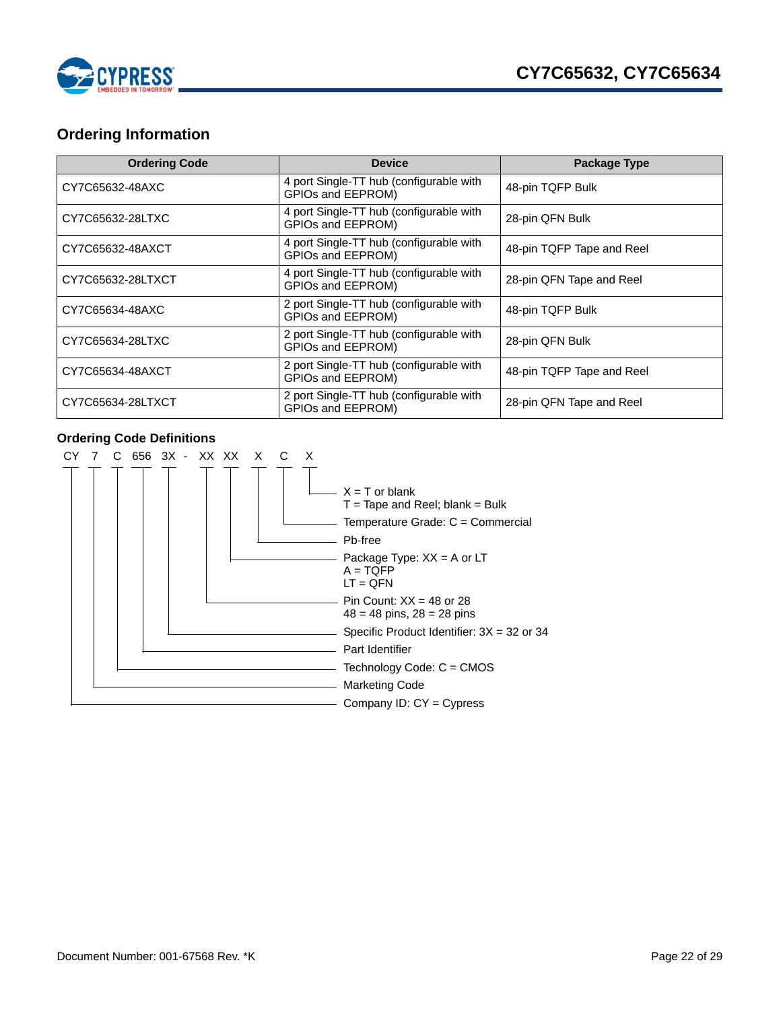

# <span id="page-21-0"></span>**Ordering Information**

| <b>Ordering Code</b> | <b>Device</b>                                                       | <b>Package Type</b>       |
|----------------------|---------------------------------------------------------------------|---------------------------|
| CY7C65632-48AXC      | 4 port Single-TT hub (configurable with<br>GPIOs and EEPROM)        | 48-pin TQFP Bulk          |
| CY7C65632-28LTXC     | 4 port Single-TT hub (configurable with<br>GPIOs and EEPROM)        | 28-pin QFN Bulk           |
| CY7C65632-48AXCT     | 4 port Single-TT hub (configurable with<br>GPIOs and EEPROM)        | 48-pin TQFP Tape and Reel |
| CY7C65632-28LTXCT    | 4 port Single-TT hub (configurable with<br>GPIOs and EEPROM)        | 28-pin QFN Tape and Reel  |
| CY7C65634-48AXC      | 2 port Single-TT hub (configurable with<br>GPIOs and EEPROM)        | 48-pin TQFP Bulk          |
| CY7C65634-28LTXC     | 2 port Single-TT hub (configurable with<br>GPIOs and EEPROM)        | 28-pin QFN Bulk           |
| CY7C65634-48AXCT     | 2 port Single-TT hub (configurable with<br><b>GPIOs and EEPROM)</b> | 48-pin TQFP Tape and Reel |
| CY7C65634-28LTXCT    | 2 port Single-TT hub (configurable with<br>GPIOs and EEPROM)        | 28-pin QFN Tape and Reel  |

# <span id="page-21-1"></span>**Ordering Code Definitions**

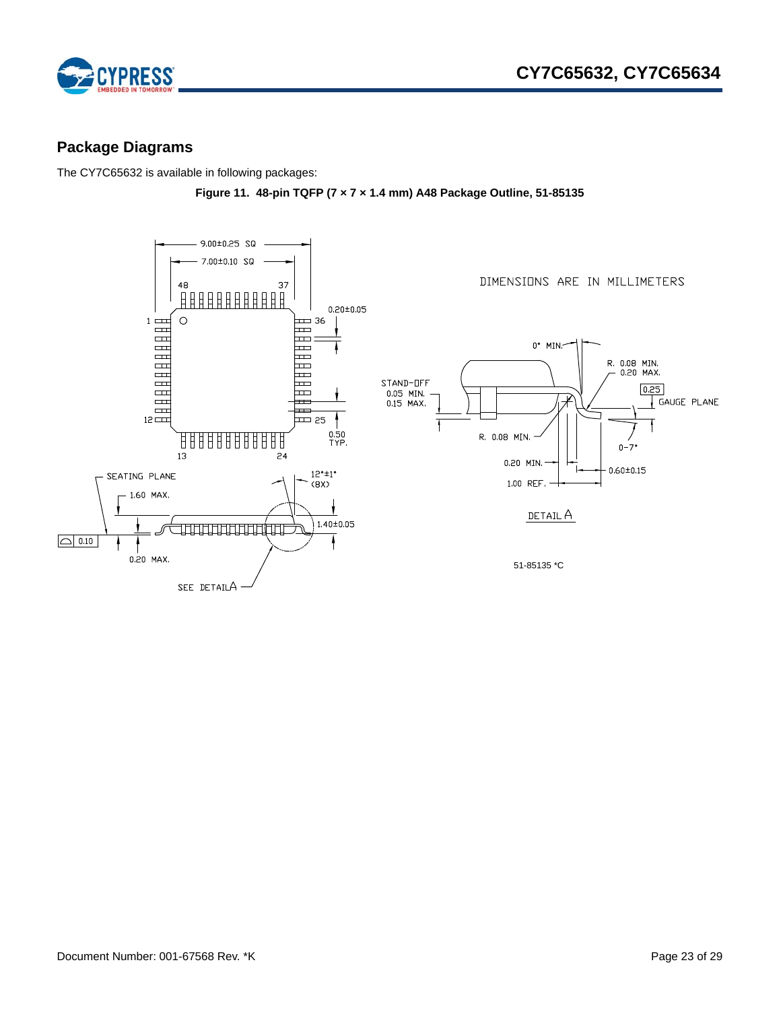

# <span id="page-22-0"></span>**Package Diagrams**

<span id="page-22-1"></span>The CY7C65632 is available in following packages:



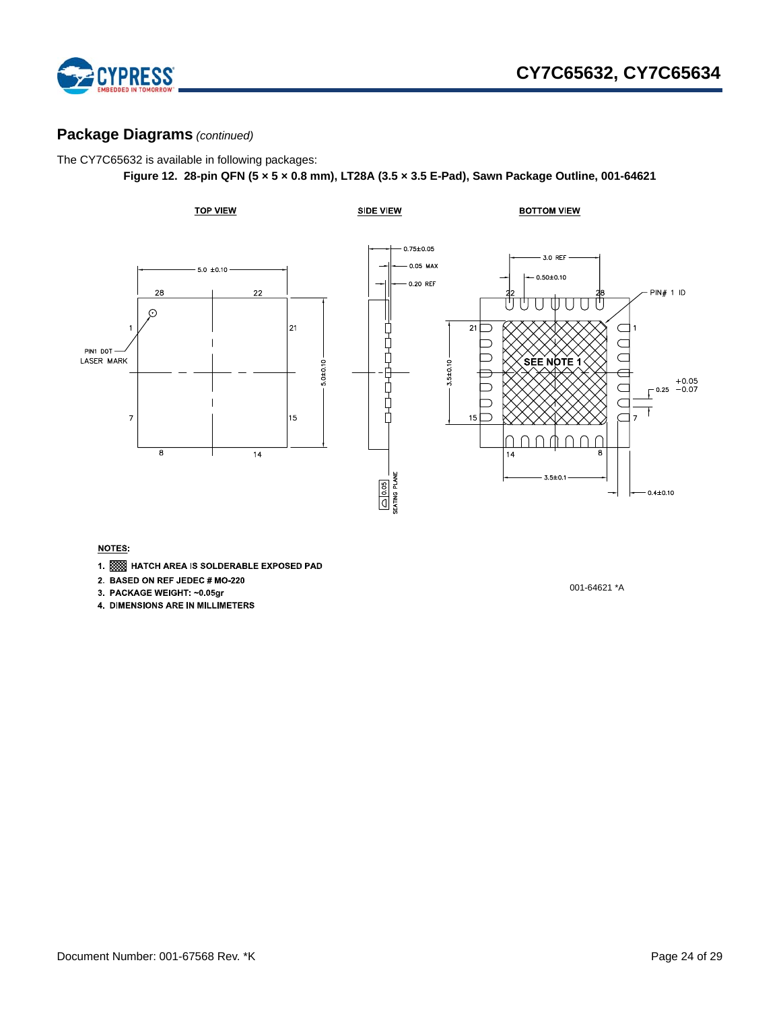

# **Package Diagrams** *(continued)*

<span id="page-23-0"></span>The CY7C65632 is available in following packages:

**Figure 12. 28-pin QFN (5 × 5 × 0.8 mm), LT28A (3.5 × 3.5 E-Pad), Sawn Package Outline, 001-64621**



NOTES:

1. SSSSS HATCH AREA IS SOLDERABLE EXPOSED PAD

2. BASED ON REF JEDEC # MO-220

- 3. PACKAGE WEIGHT: ~0.05gr
- 4. DIMENSIONS ARE IN MILLIMETERS

001-64621 \*A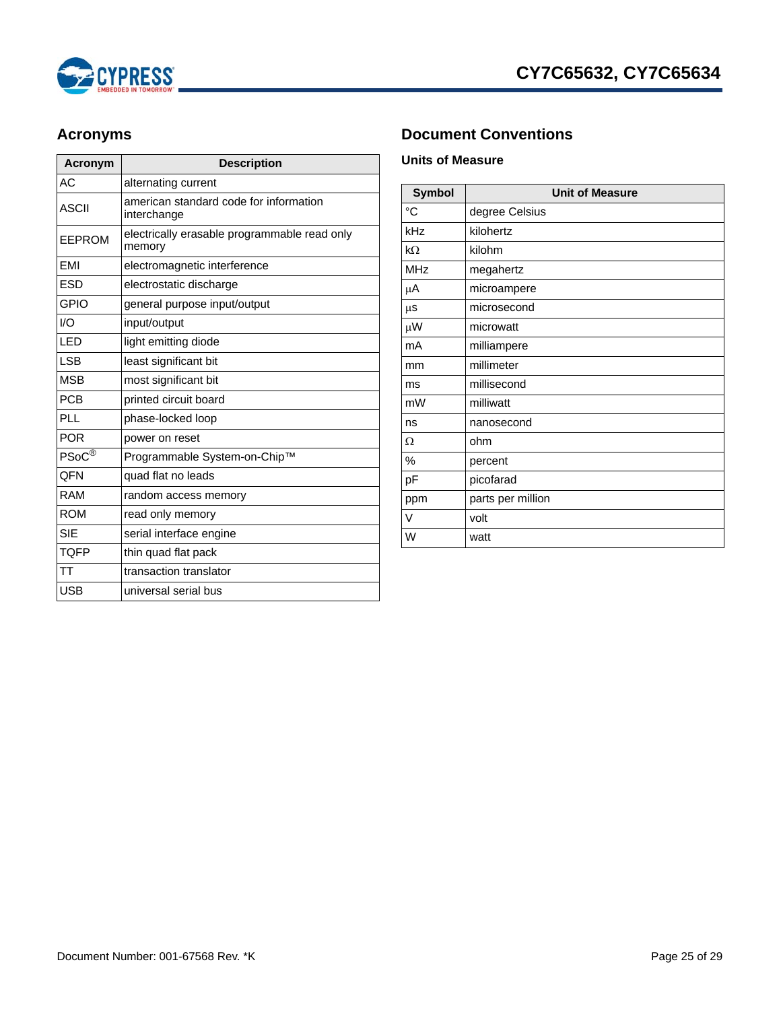

| <b>Acronym</b> | <b>Description</b>                                     |
|----------------|--------------------------------------------------------|
| AC             | alternating current                                    |
| <b>ASCII</b>   | american standard code for information<br>interchange  |
| <b>EEPROM</b>  | electrically erasable programmable read only<br>memory |
| <b>FMI</b>     | electromagnetic interference                           |
| <b>ESD</b>     | electrostatic discharge                                |
| GPIO           | general purpose input/output                           |
| 1/O            | input/output                                           |
| LED            | light emitting diode                                   |
| <b>LSB</b>     | least significant bit                                  |
| <b>MSB</b>     | most significant bit                                   |
| <b>PCB</b>     | printed circuit board                                  |
| PLI            | phase-locked loop                                      |
| <b>POR</b>     | power on reset                                         |
| PSoC®          | Programmable System-on-Chip™                           |
| <b>QFN</b>     | quad flat no leads                                     |
| <b>RAM</b>     | random access memory                                   |
| <b>ROM</b>     | read only memory                                       |
| <b>SIF</b>     | serial interface engine                                |
| <b>TOFP</b>    | thin quad flat pack                                    |
| ТT             | transaction translator                                 |
| <b>USB</b>     | universal serial bus                                   |

# <span id="page-24-0"></span>Acronyms **Document Conventions**

# <span id="page-24-2"></span><span id="page-24-1"></span>**Units of Measure**

| <b>Symbol</b> | <b>Unit of Measure</b> |
|---------------|------------------------|
| $^{\circ}C$   | degree Celsius         |
| kHz           | kilohertz              |
| kΩ            | kilohm                 |
| <b>MHz</b>    | megahertz              |
| μA            | microampere            |
| μs            | microsecond            |
| μW            | microwatt              |
| mA            | milliampere            |
| mm            | millimeter             |
| ms            | millisecond            |
| mW            | milliwatt              |
| ns            | nanosecond             |
| Ω             | ohm                    |
| %             | percent                |
| рF            | picofarad              |
| ppm           | parts per million      |
| V             | volt                   |
| W             | watt                   |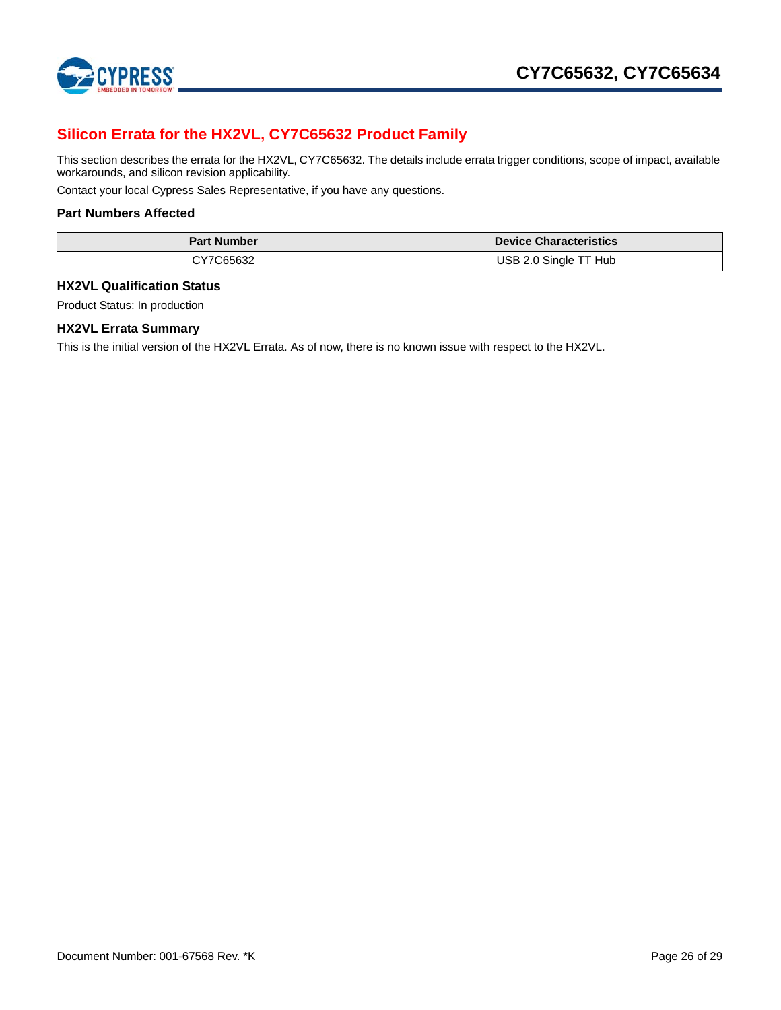

# <span id="page-25-0"></span>**Silicon Errata for the HX2VL, CY7C65632 Product Family**

This section describes the errata for the HX2VL, CY7C65632. The details include errata trigger conditions, scope of impact, available workarounds, and silicon revision applicability.

Contact your local Cypress Sales Representative, if you have any questions.

# <span id="page-25-1"></span>**Part Numbers Affected**

| <b>Part Number</b> | <b>Device Characteristics</b> |
|--------------------|-------------------------------|
| CY7C65632          | USB 2.0 Single TT Hub         |

### <span id="page-25-2"></span>**HX2VL Qualification Status**

Product Status: In production

### <span id="page-25-3"></span>**HX2VL Errata Summary**

This is the initial version of the HX2VL Errata. As of now, there is no known issue with respect to the HX2VL.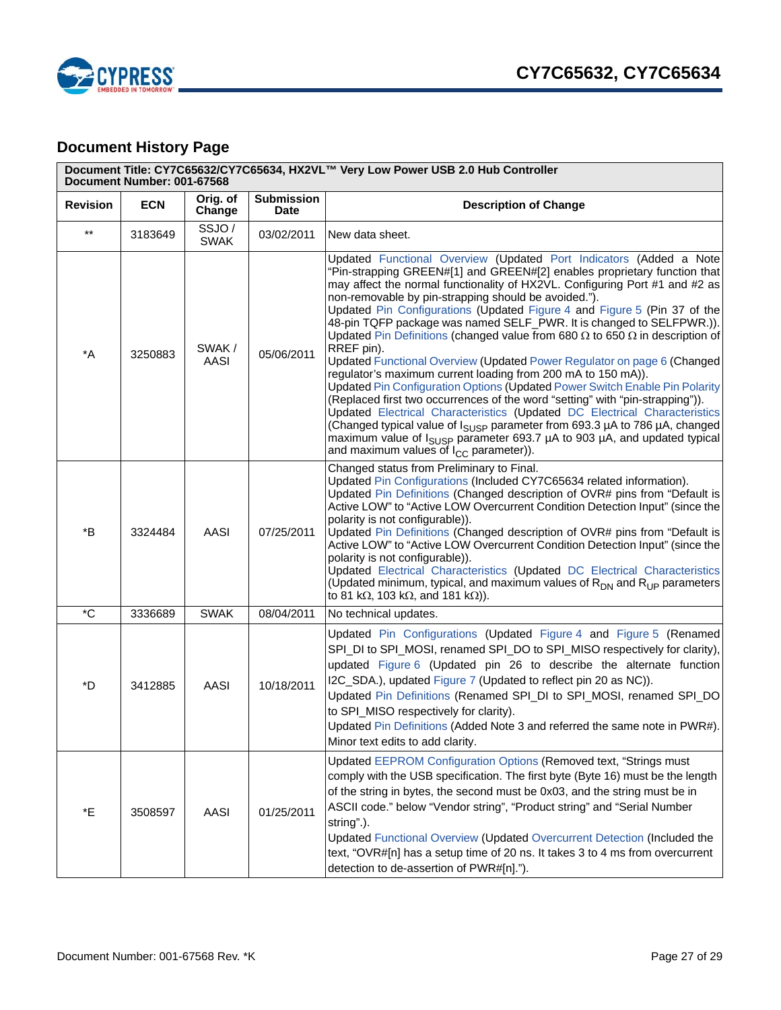

# <span id="page-26-0"></span>**Document History Page**

| Document Title: CY7C65632/CY7C65634, HX2VL™ Very Low Power USB 2.0 Hub Controller<br>Document Number: 001-67568 |            |                      |                                  |                                                                                                                                                                                                                                                                                                                                                                                                                                                                                                                                                                                                                                                                                                                                                                                                                                                                                                                                                                                                                                                                                                                                                                                |  |  |  |
|-----------------------------------------------------------------------------------------------------------------|------------|----------------------|----------------------------------|--------------------------------------------------------------------------------------------------------------------------------------------------------------------------------------------------------------------------------------------------------------------------------------------------------------------------------------------------------------------------------------------------------------------------------------------------------------------------------------------------------------------------------------------------------------------------------------------------------------------------------------------------------------------------------------------------------------------------------------------------------------------------------------------------------------------------------------------------------------------------------------------------------------------------------------------------------------------------------------------------------------------------------------------------------------------------------------------------------------------------------------------------------------------------------|--|--|--|
| <b>Revision</b>                                                                                                 | <b>ECN</b> | Orig. of<br>Change   | <b>Submission</b><br><b>Date</b> | <b>Description of Change</b>                                                                                                                                                                                                                                                                                                                                                                                                                                                                                                                                                                                                                                                                                                                                                                                                                                                                                                                                                                                                                                                                                                                                                   |  |  |  |
| $***$                                                                                                           | 3183649    | SSJO/<br><b>SWAK</b> | 03/02/2011                       | New data sheet.                                                                                                                                                                                                                                                                                                                                                                                                                                                                                                                                                                                                                                                                                                                                                                                                                                                                                                                                                                                                                                                                                                                                                                |  |  |  |
| $^*A$                                                                                                           | 3250883    | SWAK/<br>AASI        | 05/06/2011                       | Updated Functional Overview (Updated Port Indicators (Added a Note<br>"Pin-strapping GREEN#[1] and GREEN#[2] enables proprietary function that<br>may affect the normal functionality of HX2VL. Configuring Port #1 and #2 as<br>non-removable by pin-strapping should be avoided.").<br>Updated Pin Configurations (Updated Figure 4 and Figure 5 (Pin 37 of the<br>48-pin TQFP package was named SELF_PWR. It is changed to SELFPWR.)).<br>Updated Pin Definitions (changed value from 680 $\Omega$ to 650 $\Omega$ in description of<br>RREF pin).<br>Updated Functional Overview (Updated Power Regulator on page 6 (Changed<br>regulator's maximum current loading from 200 mA to 150 mA)).<br>Updated Pin Configuration Options (Updated Power Switch Enable Pin Polarity<br>(Replaced first two occurrences of the word "setting" with "pin-strapping")).<br>Updated Electrical Characteristics (Updated DC Electrical Characteristics<br>(Changed typical value of I <sub>SUSP</sub> parameter from 693.3 µA to 786 µA, changed<br>maximum value of I <sub>SUSP</sub> parameter 693.7 µA to 903 µA, and updated typical<br>and maximum values of $I_{CC}$ parameter)). |  |  |  |
| *B                                                                                                              | 3324484    | AASI                 | 07/25/2011                       | Changed status from Preliminary to Final.<br>Updated Pin Configurations (Included CY7C65634 related information).<br>Updated Pin Definitions (Changed description of OVR# pins from "Default is<br>Active LOW" to "Active LOW Overcurrent Condition Detection Input" (since the<br>polarity is not configurable)).<br>Updated Pin Definitions (Changed description of OVR# pins from "Default is<br>Active LOW" to "Active LOW Overcurrent Condition Detection Input" (since the<br>polarity is not configurable)).<br>Updated Electrical Characteristics (Updated DC Electrical Characteristics<br>(Updated minimum, typical, and maximum values of R <sub>DN</sub> and R <sub>UP</sub> parameters<br>to 81 k $\Omega$ , 103 k $\Omega$ , and 181 k $\Omega$ )).                                                                                                                                                                                                                                                                                                                                                                                                              |  |  |  |
| $^{\ast}$ C                                                                                                     | 3336689    | <b>SWAK</b>          | 08/04/2011                       | No technical updates.                                                                                                                                                                                                                                                                                                                                                                                                                                                                                                                                                                                                                                                                                                                                                                                                                                                                                                                                                                                                                                                                                                                                                          |  |  |  |
| *D                                                                                                              | 3412885    | AASI                 | 10/18/2011                       | Updated Pin Configurations (Updated Figure 4 and Figure 5 (Renamed<br>SPI_DI to SPI_MOSI, renamed SPI_DO to SPI_MISO respectively for clarity),<br>updated Figure 6 (Updated pin 26 to describe the alternate function<br>I2C_SDA.), updated Figure 7 (Updated to reflect pin 20 as NC)).<br>Updated Pin Definitions (Renamed SPI_DI to SPI_MOSI, renamed SPI_DO<br>to SPI_MISO respectively for clarity).<br>Updated Pin Definitions (Added Note 3 and referred the same note in PWR#).<br>Minor text edits to add clarity.                                                                                                                                                                                                                                                                                                                                                                                                                                                                                                                                                                                                                                                   |  |  |  |
| *E                                                                                                              | 3508597    | AASI                 | 01/25/2011                       | Updated EEPROM Configuration Options (Removed text, "Strings must<br>comply with the USB specification. The first byte (Byte 16) must be the length<br>of the string in bytes, the second must be 0x03, and the string must be in<br>ASCII code." below "Vendor string", "Product string" and "Serial Number<br>string".).<br>Updated Functional Overview (Updated Overcurrent Detection (Included the<br>text, "OVR#[n] has a setup time of 20 ns. It takes 3 to 4 ms from overcurrent<br>detection to de-assertion of PWR#[n].").                                                                                                                                                                                                                                                                                                                                                                                                                                                                                                                                                                                                                                            |  |  |  |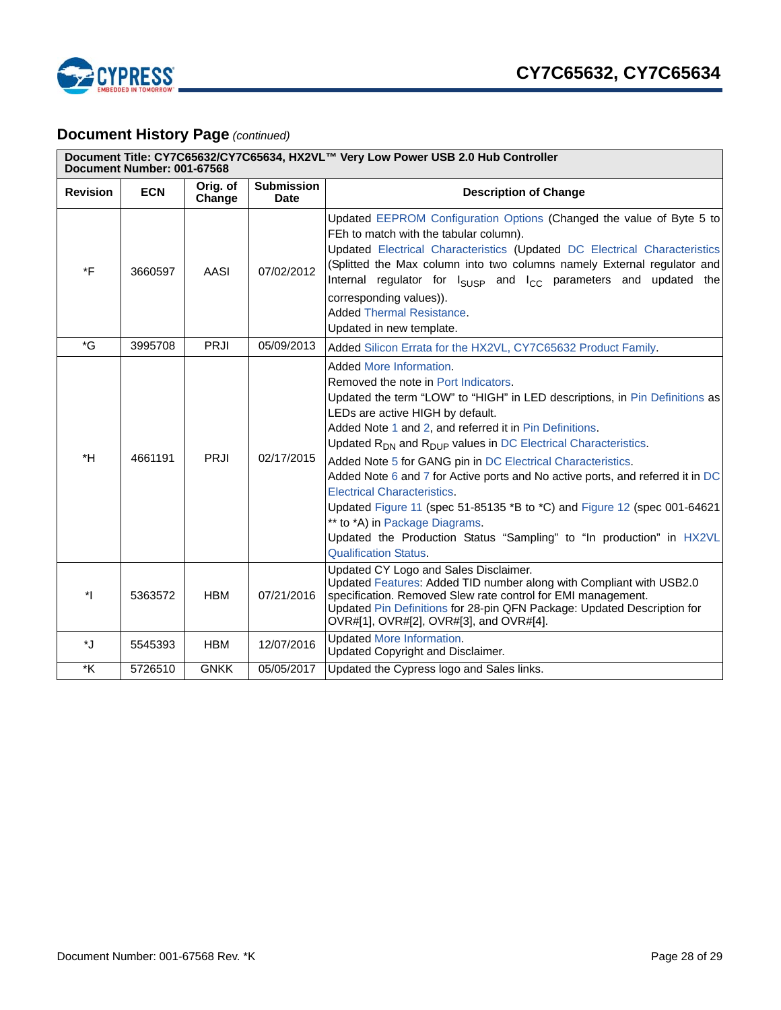

# **Document History Page** *(continued)*

| Document Title: CY7C65632/CY7C65634, HX2VL™ Very Low Power USB 2.0 Hub Controller<br>Document Number: 001-67568 |            |                    |                                  |                                                                                                                                                                                                                                                                                                                                                                                                                                                                                                                                                                                                                                                                                                                                       |  |  |  |
|-----------------------------------------------------------------------------------------------------------------|------------|--------------------|----------------------------------|---------------------------------------------------------------------------------------------------------------------------------------------------------------------------------------------------------------------------------------------------------------------------------------------------------------------------------------------------------------------------------------------------------------------------------------------------------------------------------------------------------------------------------------------------------------------------------------------------------------------------------------------------------------------------------------------------------------------------------------|--|--|--|
| <b>Revision</b>                                                                                                 | <b>ECN</b> | Orig. of<br>Change | <b>Submission</b><br><b>Date</b> | <b>Description of Change</b>                                                                                                                                                                                                                                                                                                                                                                                                                                                                                                                                                                                                                                                                                                          |  |  |  |
| $*$ F                                                                                                           | 3660597    | AASI               | 07/02/2012                       | Updated EEPROM Configuration Options (Changed the value of Byte 5 to<br>FEh to match with the tabular column).<br>Updated Electrical Characteristics (Updated DC Electrical Characteristics<br>(Splitted the Max column into two columns namely External regulator and<br>Internal regulator for $I_{SUSP}$ and $I_{CC}$ parameters and updated the<br>corresponding values)).<br><b>Added Thermal Resistance.</b><br>Updated in new template.                                                                                                                                                                                                                                                                                        |  |  |  |
| $\mathbf{G}^*$                                                                                                  | 3995708    | PRJI               | 05/09/2013                       | Added Silicon Errata for the HX2VL, CY7C65632 Product Family.                                                                                                                                                                                                                                                                                                                                                                                                                                                                                                                                                                                                                                                                         |  |  |  |
| *H                                                                                                              | 4661191    | <b>PRJI</b>        | 02/17/2015                       | Added More Information.<br>Removed the note in Port Indicators.<br>Updated the term "LOW" to "HIGH" in LED descriptions, in Pin Definitions as<br>LEDs are active HIGH by default.<br>Added Note 1 and 2, and referred it in Pin Definitions.<br>Updated $R_{DN}$ and $R_{DUP}$ values in DC Electrical Characteristics.<br>Added Note 5 for GANG pin in DC Electrical Characteristics.<br>Added Note 6 and 7 for Active ports and No active ports, and referred it in DC<br><b>Electrical Characteristics.</b><br>Updated Figure 11 (spec 51-85135 *B to *C) and Figure 12 (spec 001-64621<br>** to *A) in Package Diagrams.<br>Updated the Production Status "Sampling" to "In production" in HX2VL<br><b>Qualification Status.</b> |  |  |  |
| $\star$                                                                                                         | 5363572    | <b>HBM</b>         | 07/21/2016                       | Updated CY Logo and Sales Disclaimer.<br>Updated Features: Added TID number along with Compliant with USB2.0<br>specification. Removed Slew rate control for EMI management.<br>Updated Pin Definitions for 28-pin QFN Package: Updated Description for<br>OVR#[1], OVR#[2], OVR#[3], and OVR#[4].                                                                                                                                                                                                                                                                                                                                                                                                                                    |  |  |  |
| *J                                                                                                              | 5545393    | <b>HBM</b>         | 12/07/2016                       | <b>Updated More Information.</b><br>Updated Copyright and Disclaimer.                                                                                                                                                                                                                                                                                                                                                                                                                                                                                                                                                                                                                                                                 |  |  |  |
| $^\star \mathsf{K}$                                                                                             | 5726510    | <b>GNKK</b>        | 05/05/2017                       | Updated the Cypress logo and Sales links.                                                                                                                                                                                                                                                                                                                                                                                                                                                                                                                                                                                                                                                                                             |  |  |  |